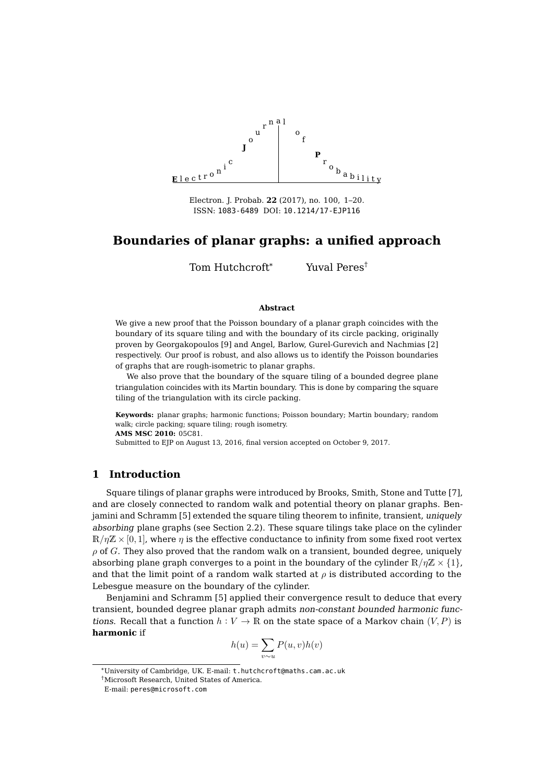

Electron. J. Probab. **22** (2017), no. 100, 1[–20.](#page-19-0) ISSN: [1083-6489](http://www.imstat.org/ejp/) DOI: [10.1214/17-EJP116](http://dx.doi.org/10.1214/17-EJP116)

# **Boundaries of planar graphs: a unified approach**

Tom Hutchcroft\* Yuval Peres†

#### **Abstract**

We give a new proof that the Poisson boundary of a planar graph coincides with the boundary of its square tiling and with the boundary of its circle packing, originally proven by Georgakopoulos [\[9\]](#page-18-0) and Angel, Barlow, Gurel-Gurevich and Nachmias [\[2\]](#page-18-1) respectively. Our proof is robust, and also allows us to identify the Poisson boundaries of graphs that are rough-isometric to planar graphs.

We also prove that the boundary of the square tiling of a bounded degree plane triangulation coincides with its Martin boundary. This is done by comparing the square tiling of the triangulation with its circle packing.

**Keywords:** planar graphs; harmonic functions; Poisson boundary; Martin boundary; random walk; circle packing; square tiling; rough isometry.

**AMS MSC 2010:** 05C81.

Submitted to EJP on August 13, 2016, final version accepted on October 9, 2017.

# **1 Introduction**

Square tilings of planar graphs were introduced by Brooks, Smith, Stone and Tutte [\[7\]](#page-18-2), and are closely connected to random walk and potential theory on planar graphs. Benjamini and Schramm [\[5\]](#page-18-3) extended the square tiling theorem to infinite, transient, uniquely absorbing plane graphs (see Section [2.2\)](#page-6-0). These square tilings take place on the cylinder  $\mathbb{R}/\eta\mathbb{Z} \times [0,1]$ , where  $\eta$  is the effective conductance to infinity from some fixed root vertex  $\rho$  of G. They also proved that the random walk on a transient, bounded degree, uniquely absorbing plane graph converges to a point in the boundary of the cylinder  $\mathbb{R}/\eta\mathbb{Z}\times\{1\}$ , and that the limit point of a random walk started at  $\rho$  is distributed according to the Lebesgue measure on the boundary of the cylinder.

Benjamini and Schramm [\[5\]](#page-18-3) applied their convergence result to deduce that every transient, bounded degree planar graph admits non-constant bounded harmonic functions. Recall that a function  $h: V \to \mathbb{R}$  on the state space of a Markov chain  $(V, P)$  is **harmonic** if

$$
h(u) = \sum_{v \sim u} P(u, v)h(v)
$$

<sup>\*</sup>University of Cambridge, UK. E-mail: [t.hutchcroft@maths.cam.ac.uk](mailto:t.hutchcroft@maths.cam.ac.uk)

<sup>†</sup>Microsoft Research, United States of America.

E-mail: [peres@microsoft.com](mailto:peres@microsoft.com)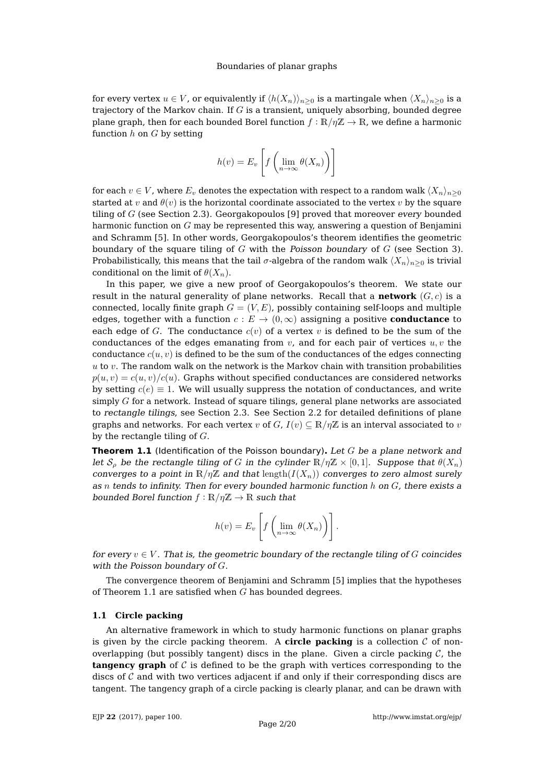for every vertex  $u \in V$ , or equivalently if  $\langle h(X_n) \rangle_{n>0}$  is a martingale when  $\langle X_n \rangle_{n>0}$  is a trajectory of the Markov chain. If  $G$  is a transient, uniquely absorbing, bounded degree plane graph, then for each bounded Borel function  $f : \mathbb{R}/\eta\mathbb{Z} \to \mathbb{R}$ , we define a harmonic function  $h$  on  $G$  by setting

$$
h(v) = E_v \left[ f \left( \lim_{n \to \infty} \theta(X_n) \right) \right]
$$

for each  $v \in V$ , where  $E_v$  denotes the expectation with respect to a random walk  $\langle X_n \rangle_{n\geq 0}$ started at v and  $\theta(v)$  is the horizontal coordinate associated to the vertex v by the square tiling of  $G$  (see Section [2.3\)](#page-6-1). Georgakopoulos [\[9\]](#page-18-0) proved that moreover every bounded harmonic function on  $G$  may be represented this way, answering a question of Benjamini and Schramm [\[5\]](#page-18-3). In other words, Georgakopoulos's theorem identifies the geometric boundary of the square tiling of  $G$  with the Poisson boundary of  $G$  (see Section [3\)](#page-7-0). Probabilistically, this means that the tail  $\sigma$ -algebra of the random walk  $\langle X_n \rangle_{n\geq 0}$  is trivial conditional on the limit of  $\theta(X_n)$ .

In this paper, we give a new proof of Georgakopoulos's theorem. We state our result in the natural generality of plane networks. Recall that a **network**  $(G, c)$  is a connected, locally finite graph  $G = (V, E)$ , possibly containing self-loops and multiple edges, together with a function  $c : E \to (0, \infty)$  assigning a positive **conductance** to each edge of G. The conductance  $c(v)$  of a vertex v is defined to be the sum of the conductances of the edges emanating from  $v$ , and for each pair of vertices  $u, v$  the conductance  $c(u, v)$  is defined to be the sum of the conductances of the edges connecting  $u$  to  $v$ . The random walk on the network is the Markov chain with transition probabilities  $p(u, v) = c(u, v)/c(u)$ . Graphs without specified conductances are considered networks by setting  $c(e) \equiv 1$ . We will usually suppress the notation of conductances, and write simply  $G$  for a network. Instead of square tilings, general plane networks are associated to rectangle tilings, see Section [2.3.](#page-6-1) See Section [2.2](#page-6-0) for detailed definitions of plane graphs and networks. For each vertex v of  $G$ ,  $I(v) \subseteq \mathbb{R}/n\mathbb{Z}$  is an interval associated to v by the rectangle tiling of  $G$ .

<span id="page-1-0"></span>**Theorem 1.1** (Identification of the Poisson boundary)**.** Let G be a plane network and let  $S_\rho$  be the rectangle tiling of G in the cylinder  $\mathbb{R}/\eta\mathbb{Z} \times [0,1]$ . Suppose that  $\theta(X_n)$ converges to a point in  $\mathbb{R}/n\mathbb{Z}$  and that length $(I(X_n))$  converges to zero almost surely as n tends to infinity. Then for every bounded harmonic function  $h$  on  $G$ , there exists a bounded Borel function  $f : \mathbb{R}/\eta \mathbb{Z} \to \mathbb{R}$  such that

$$
h(v) = E_v \left[ f \left( \lim_{n \to \infty} \theta(X_n) \right) \right].
$$

for every  $v \in V$ . That is, the geometric boundary of the rectangle tiling of G coincides with the Poisson boundary of  $G$ .

The convergence theorem of Benjamini and Schramm [\[5\]](#page-18-3) implies that the hypotheses of Theorem [1.1](#page-1-0) are satisfied when  $G$  has bounded degrees.

#### **1.1 Circle packing**

An alternative framework in which to study harmonic functions on planar graphs is given by the circle packing theorem. A **circle packing** is a collection  $C$  of nonoverlapping (but possibly tangent) discs in the plane. Given a circle packing  $\mathcal{C}$ , the **tangency graph** of C is defined to be the graph with vertices corresponding to the discs of  $C$  and with two vertices adjacent if and only if their corresponding discs are tangent. The tangency graph of a circle packing is clearly planar, and can be drawn with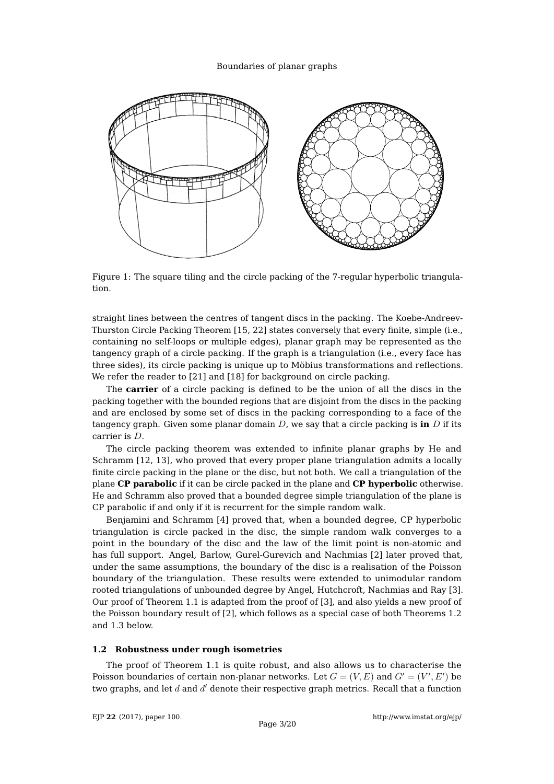

<span id="page-2-0"></span>Figure 1: The square tiling and the circle packing of the 7-regular hyperbolic triangulation.

straight lines between the centres of tangent discs in the packing. The Koebe-Andreev-Thurston Circle Packing Theorem [\[15,](#page-18-4) [22\]](#page-19-1) states conversely that every finite, simple (i.e., containing no self-loops or multiple edges), planar graph may be represented as the tangency graph of a circle packing. If the graph is a triangulation (i.e., every face has three sides), its circle packing is unique up to Möbius transformations and reflections. We refer the reader to [\[21\]](#page-18-5) and [\[18\]](#page-18-6) for background on circle packing.

The **carrier** of a circle packing is defined to be the union of all the discs in the packing together with the bounded regions that are disjoint from the discs in the packing and are enclosed by some set of discs in the packing corresponding to a face of the tangency graph. Given some planar domain  $D$ , we say that a circle packing is **in**  $D$  if its carrier is D.

The circle packing theorem was extended to infinite planar graphs by He and Schramm [\[12,](#page-18-7) [13\]](#page-18-8), who proved that every proper plane triangulation admits a locally finite circle packing in the plane or the disc, but not both. We call a triangulation of the plane **CP parabolic** if it can be circle packed in the plane and **CP hyperbolic** otherwise. He and Schramm also proved that a bounded degree simple triangulation of the plane is CP parabolic if and only if it is recurrent for the simple random walk.

Benjamini and Schramm [\[4\]](#page-18-9) proved that, when a bounded degree, CP hyperbolic triangulation is circle packed in the disc, the simple random walk converges to a point in the boundary of the disc and the law of the limit point is non-atomic and has full support. Angel, Barlow, Gurel-Gurevich and Nachmias [\[2\]](#page-18-1) later proved that, under the same assumptions, the boundary of the disc is a realisation of the Poisson boundary of the triangulation. These results were extended to unimodular random rooted triangulations of unbounded degree by Angel, Hutchcroft, Nachmias and Ray [\[3\]](#page-18-10). Our proof of Theorem [1.1](#page-1-0) is adapted from the proof of [\[3\]](#page-18-10), and also yields a new proof of the Poisson boundary result of [\[2\]](#page-18-1), which follows as a special case of both Theorems [1.2](#page-3-0) and [1.3](#page-3-1) below.

#### **1.2 Robustness under rough isometries**

The proof of Theorem [1.1](#page-1-0) is quite robust, and also allows us to characterise the Poisson boundaries of certain non-planar networks. Let  $G = (V, E)$  and  $G' = (V', E')$  be two graphs, and let  $d$  and  $d'$  denote their respective graph metrics. Recall that a function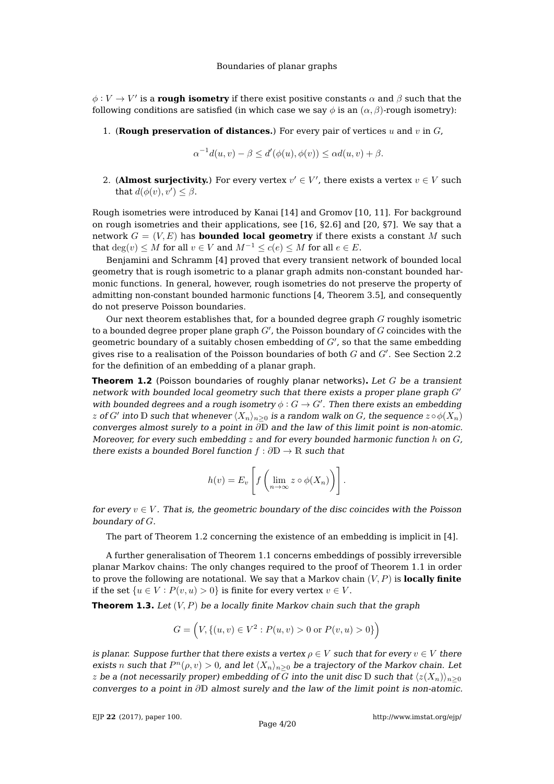$\phi:V\to V'$  is a **rough isometry** if there exist positive constants  $\alpha$  and  $\beta$  such that the following conditions are satisfied (in which case we say  $\phi$  is an  $(\alpha, \beta)$ -rough isometry):

1. (**Rough preservation of distances.**) For every pair of vertices  $u$  and  $v$  in  $G$ ,

$$
\alpha^{-1}d(u,v) - \beta \le d'(\phi(u), \phi(v)) \le \alpha d(u,v) + \beta.
$$

2. (**Almost surjectivity.**) For every vertex  $v' \in V'$ , there exists a vertex  $v \in V$  such that  $d(\phi(v), v') \leq \beta$ .

Rough isometries were introduced by Kanai [\[14\]](#page-18-11) and Gromov [\[10,](#page-18-12) [11\]](#page-18-13). For background on rough isometries and their applications, see [\[16,](#page-18-14) §2.6] and [\[20,](#page-18-15) §7]. We say that a network  $G = (V, E)$  has **bounded local geometry** if there exists a constant M such that  $deg(v) \leq M$  for all  $v \in V$  and  $M^{-1} \leq c(e) \leq M$  for all  $e \in E$ .

Benjamini and Schramm [\[4\]](#page-18-9) proved that every transient network of bounded local geometry that is rough isometric to a planar graph admits non-constant bounded harmonic functions. In general, however, rough isometries do not preserve the property of admitting non-constant bounded harmonic functions [\[4,](#page-18-9) Theorem 3.5], and consequently do not preserve Poisson boundaries.

Our next theorem establishes that, for a bounded degree graph  $G$  roughly isometric to a bounded degree proper plane graph  $G'$ , the Poisson boundary of  $\overline{G}$  coincides with the geometric boundary of a suitably chosen embedding of  $G'$ , so that the same embedding gives rise to a realisation of the Poisson boundaries of both  $G$  and  $G'$ . See Section [2.2](#page-6-0) for the definition of an embedding of a planar graph.

<span id="page-3-0"></span>**Theorem 1.2** (Poisson boundaries of roughly planar networks)**.** Let G be a transient network with bounded local geometry such that there exists a proper plane graph  $G'$ with bounded degrees and a rough isometry  $\phi: G \to G'$ . Then there exists an embedding  $z$  of  $G'$  into  $\mathbb D$  such that whenever  $\langle X_n\rangle_{n\geq 0}$  is a random walk on  $G$ , the sequence  $z\circ\phi(X_n)$ converges almost surely to a point in ∂D and the law of this limit point is non-atomic. Moreover, for every such embedding  $z$  and for every bounded harmonic function h on  $G$ , there exists a bounded Borel function  $f : \partial \mathbb{D} \to \mathbb{R}$  such that

$$
h(v) = E_v \left[ f \left( \lim_{n \to \infty} z \circ \phi(X_n) \right) \right].
$$

for every  $v \in V$ . That is, the geometric boundary of the disc coincides with the Poisson boundary of G.

The part of Theorem [1.2](#page-3-0) concerning the existence of an embedding is implicit in [\[4\]](#page-18-9).

A further generalisation of Theorem [1.1](#page-1-0) concerns embeddings of possibly irreversible planar Markov chains: The only changes required to the proof of Theorem [1.1](#page-1-0) in order to prove the following are notational. We say that a Markov chain  $(V, P)$  is **locally finite** if the set  $\{u \in V : P(v, u) > 0\}$  is finite for every vertex  $v \in V$ .

<span id="page-3-1"></span>**Theorem 1.3.** Let  $(V, P)$  be a locally finite Markov chain such that the graph

$$
G = \left(V, \{(u, v) \in V^2 : P(u, v) > 0 \text{ or } P(v, u) > 0\}\right)
$$

is planar. Suppose further that there exists a vertex  $\rho \in V$  such that for every  $v \in V$  there exists n such that  $P^{n}(\rho, v) > 0$ , and let  $\langle X_n \rangle_{n\geq 0}$  be a trajectory of the Markov chain. Let z be a (not necessarily proper) embedding of G into the unit disc D such that  $\langle z(X_n) \rangle_{n\geq 0}$ converges to a point in ∂D almost surely and the law of the limit point is non-atomic.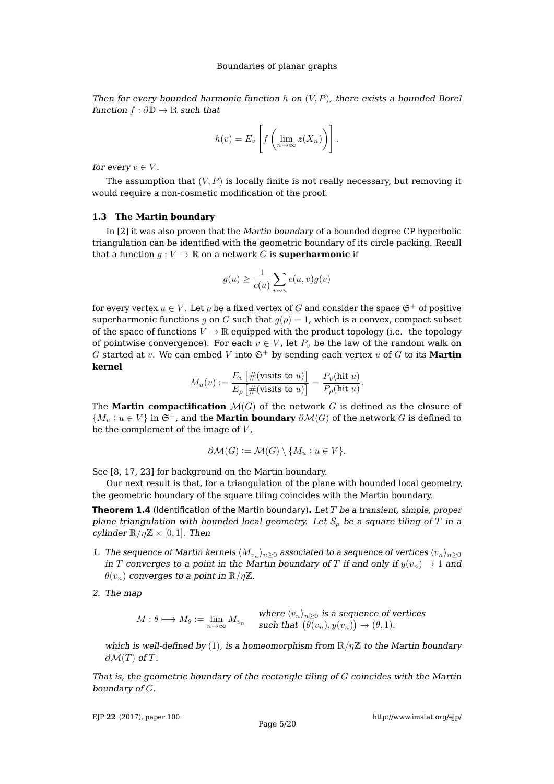Then for every bounded harmonic function h on  $(V, P)$ , there exists a bounded Borel function  $f : \partial \mathbb{D} \to \mathbb{R}$  such that

$$
h(v) = E_v \left[ f \left( \lim_{n \to \infty} z(X_n) \right) \right].
$$

for every  $v \in V$ .

The assumption that  $(V, P)$  is locally finite is not really necessary, but removing it would require a non-cosmetic modification of the proof.

#### **1.3 The Martin boundary**

In [\[2\]](#page-18-1) it was also proven that the Martin boundary of a bounded degree CP hyperbolic triangulation can be identified with the geometric boundary of its circle packing. Recall that a function  $g: V \to \mathbb{R}$  on a network G is **superharmonic** if

$$
g(u) \ge \frac{1}{c(u)} \sum_{v \sim u} c(u, v) g(v)
$$

for every vertex  $u \in V$ . Let  $\rho$  be a fixed vertex of G and consider the space  $\mathfrak{S}^+$  of positive superharmonic functions g on G such that  $g(\rho) = 1$ , which is a convex, compact subset of the space of functions  $V \to \mathbb{R}$  equipped with the product topology (i.e. the topology of pointwise convergence). For each  $v \in V$ , let  $P_v$  be the law of the random walk on G started at v. We can embed V into  $\mathfrak{S}^+$  by sending each vertex u of G to its **Martin kernel**

$$
M_u(v) := \frac{E_v \left[ \#(\text{visits to } u) \right]}{E_\rho \left[ \#(\text{visits to } u) \right]} = \frac{P_v(\text{hit } u)}{P_\rho(\text{hit } u)}.
$$

The **Martin compactification**  $\mathcal{M}(G)$  of the network G is defined as the closure of  $\{M_u : u \in V\}$  in  $\mathfrak{S}^+$ , and the **Martin boundary**  $\partial \mathcal{M}(G)$  of the network G is defined to be the complement of the image of  $V$ ,

$$
\partial \mathcal{M}(G) := \mathcal{M}(G) \setminus \{M_u : u \in V\}.
$$

See [\[8,](#page-18-16) [17,](#page-18-17) [23\]](#page-19-2) for background on the Martin boundary.

Our next result is that, for a triangulation of the plane with bounded local geometry, the geometric boundary of the square tiling coincides with the Martin boundary.

<span id="page-4-0"></span>**Theorem 1.4** (Identification of the Martin boundary)**.** Let T be a transient, simple, proper plane triangulation with bounded local geometry. Let  $S_{\rho}$  be a square tiling of T in a cylinder  $\mathbb{R}/\eta\mathbb{Z} \times [0,1]$ . Then

- 1. The sequence of Martin kernels  $\langle M_{v_n} \rangle_{n\geq 0}$  associated to a sequence of vertices  $\langle v_n \rangle_{n\geq 0}$ in T converges to a point in the Martin boundary of T if and only if  $y(v_n) \to 1$  and  $\theta(v_n)$  converges to a point in  $\mathbb{R}/\eta\mathbb{Z}$ .
- 2. The map

 $M: \theta \longmapsto M_\theta := \lim_{n \to \infty} M_{v_n} \quad \text{where } \langle v_n \rangle_{n \geq 0} \text{ is a sequence of vertices}$ <br>such that  $(\theta(v_n), y(v_n)) \to (\theta, 1),$ such that  $(\theta(v_n), y(v_n)) \to (\theta, 1),$ 

which is well-defined by (1), is a homeomorphism from  $\mathbb{R}/\eta\mathbb{Z}$  to the Martin boundary  $\partial \mathcal{M}(T)$  of T.

That is, the geometric boundary of the rectangle tiling of  $G$  coincides with the Martin boundary of G.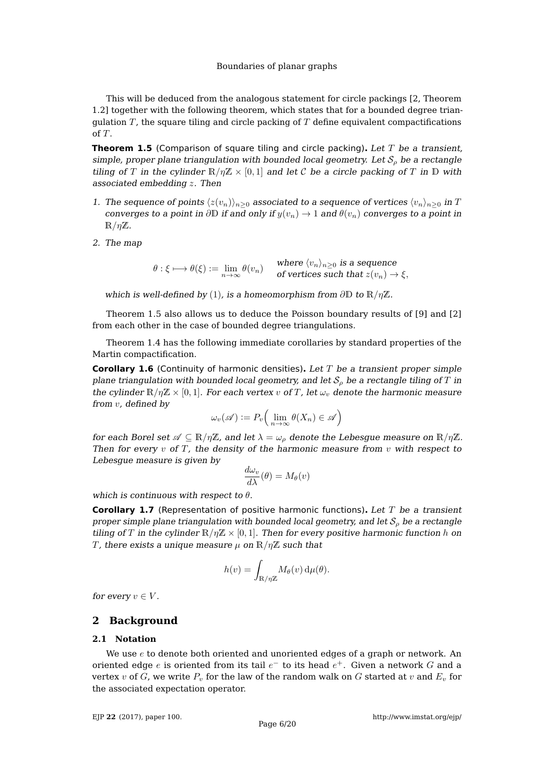This will be deduced from the analogous statement for circle packings [\[2,](#page-18-1) Theorem 1.2] together with the following theorem, which states that for a bounded degree triangulation  $T$ , the square tiling and circle packing of  $T$  define equivalent compactifications of T.

<span id="page-5-0"></span>**Theorem 1.5** (Comparison of square tiling and circle packing). Let T be a transient, simple, proper plane triangulation with bounded local geometry. Let  $S<sub>o</sub>$  be a rectangle tiling of T in the cylinder  $\mathbb{R}/n\mathbb{Z} \times [0,1]$  and let C be a circle packing of T in D with associated embedding z. Then

- 1. The sequence of points  $\langle z(v_n)\rangle_{n\geq 0}$  associated to a sequence of vertices  $\langle v_n\rangle_{n\geq 0}$  in T converges to a point in ∂D if and only if  $y(v_n) \to 1$  and  $\theta(v_n)$  converges to a point in  $\mathbb{R}/\eta\mathbb{Z}$ .
- 2. The map

 $\theta : \xi \longmapsto \theta(\xi) \mathrel{\mathop:}= \lim_{n \to \infty} \theta(v_n) \quad \quad \text{where $\langle v_n \rangle_{n \geq 0}$ is a sequence of vertices such that $z(v_n) = \int_0^\infty \int_0^\pi \phi(v_n) \, dv$ and $v_n \in \mathbb{R}$.}$ of vertices such that  $z(v_n) \to \xi$ ,

which is well-defined by (1), is a homeomorphism from  $\partial \mathbb{D}$  to  $\mathbb{R}/\eta \mathbb{Z}$ .

Theorem [1.5](#page-5-0) also allows us to deduce the Poisson boundary results of [\[9\]](#page-18-0) and [\[2\]](#page-18-1) from each other in the case of bounded degree triangulations.

Theorem [1.4](#page-4-0) has the following immediate corollaries by standard properties of the Martin compactification.

**Corollary 1.6** (Continuity of harmonic densities)**.** Let T be a transient proper simple plane triangulation with bounded local geometry, and let  $S<sub>o</sub>$  be a rectangle tiling of T in the cylinder  $\mathbb{R}/\eta\mathbb{Z} \times [0,1]$ . For each vertex v of T, let  $\omega_v$  denote the harmonic measure from v, defined by

$$
\omega_v(\mathscr{A}) := P_v\Big(\lim_{n\to\infty}\theta(X_n) \in \mathscr{A}\Big)
$$

for each Borel set  $\mathscr{A} \subseteq \mathbb{R}/\eta\mathbb{Z}$ , and let  $\lambda = \omega_\rho$  denote the Lebesgue measure on  $\mathbb{R}/\eta\mathbb{Z}$ . Then for every  $v$  of  $T$ , the density of the harmonic measure from  $v$  with respect to Lebesgue measure is given by

$$
\frac{d\omega_v}{d\lambda}(\theta) = M_{\theta}(v)
$$

which is continuous with respect to  $\theta$ .

**Corollary 1.7** (Representation of positive harmonic functions)**.** Let T be a transient proper simple plane triangulation with bounded local geometry, and let  $S_{\rho}$  be a rectangle tiling of T in the cylinder  $\mathbb{R}/\eta\mathbb{Z} \times [0,1]$ . Then for every positive harmonic function h on T, there exists a unique measure  $\mu$  on  $\mathbb{R}/\eta\mathbb{Z}$  such that

$$
h(v) = \int_{\mathbb{R}/\eta\mathbb{Z}} M_{\theta}(v) d\mu(\theta).
$$

for every  $v \in V$ .

# **2 Background**

#### **2.1 Notation**

We use  $e$  to denote both oriented and unoriented edges of a graph or network. An oriented edge  $e$  is oriented from its tail  $e^-$  to its head  $e^+$ . Given a network  $G$  and a vertex  $v$  of  $G$ , we write  $P_v$  for the law of the random walk on  $G$  started at  $v$  and  $E_v$  for the associated expectation operator.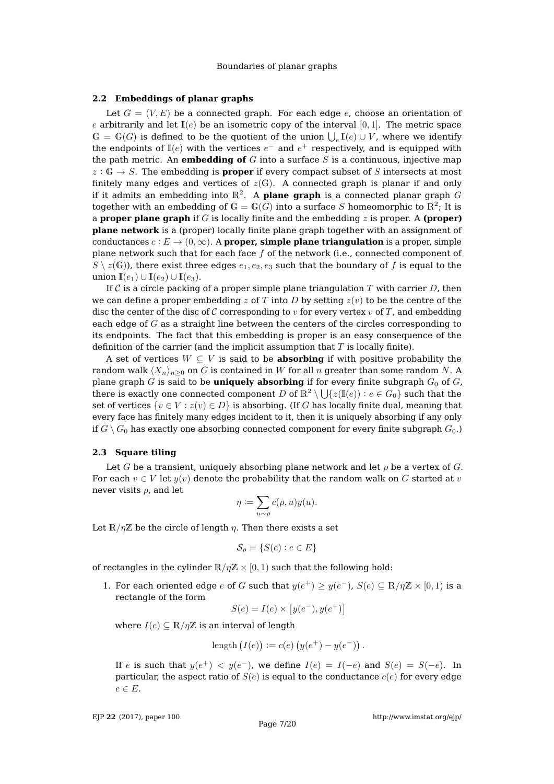#### <span id="page-6-0"></span>**2.2 Embeddings of planar graphs**

Let  $G = (V, E)$  be a connected graph. For each edge e, choose an orientation of e arbitrarily and let  $\mathbb{I}(e)$  be an isometric copy of the interval [0,1]. The metric space  $\mathbb{G} = \mathbb{G}(G)$  is defined to be the quotient of the union  $\bigcup_{e} \mathbb{I}(e) \cup V$ , where we identify the endpoints of  $\mathbb{I}(e)$  with the vertices  $e^-$  and  $e^+$  respectively, and is equipped with the path metric. An **embedding of** G into a surface S is a continuous, injective map  $z : \mathbb{G} \to S$ . The embedding is **proper** if every compact subset of S intersects at most finitely many edges and vertices of  $z(G)$ . A connected graph is planar if and only if it admits an embedding into  $\mathbb{R}^2$ . A **plane graph** is a connected planar graph  $G$ together with an embedding of  $\mathbb{G}=\mathbb{G}(G)$  into a surface  $S$  homeomorphic to  $\mathbb{R}^2$ ; It is a **proper plane graph** if G is locally finite and the embedding z is proper. A **(proper) plane network** is a (proper) locally finite plane graph together with an assignment of conductances  $c : E \to (0, \infty)$ . A **proper, simple plane triangulation** is a proper, simple plane network such that for each face f of the network (i.e., connected component of  $S \setminus z(G)$ , there exist three edges  $e_1, e_2, e_3$  such that the boundary of f is equal to the union  $\mathbb{I}(e_1) \cup \mathbb{I}(e_2) \cup \mathbb{I}(e_3)$ .

If C is a circle packing of a proper simple plane triangulation T with carrier  $D$ , then we can define a proper embedding z of T into D by setting  $z(v)$  to be the centre of the disc the center of the disc of C corresponding to  $v$  for every vertex  $v$  of T, and embedding each edge of  $G$  as a straight line between the centers of the circles corresponding to its endpoints. The fact that this embedding is proper is an easy consequence of the definition of the carrier (and the implicit assumption that  $T$  is locally finite).

A set of vertices  $W \subseteq V$  is said to be **absorbing** if with positive probability the random walk  $\langle X_n \rangle_{n>0}$  on G is contained in W for all n greater than some random N. A plane graph  $G$  is said to be **uniquely absorbing** if for every finite subgraph  $G_0$  of  $G$ , there is exactly one connected component  $D$  of  $\mathbb{R}^2\setminus\bigcup\{z(\mathbb{I}(e)):e\in G_0\}$  such that the set of vertices  $\{v \in V : z(v) \in D\}$  is absorbing. (If G has locally finite dual, meaning that every face has finitely many edges incident to it, then it is uniquely absorbing if any only if  $G \setminus G_0$  has exactly one absorbing connected component for every finite subgraph  $G_0$ .)

### <span id="page-6-1"></span>**2.3 Square tiling**

Let G be a transient, uniquely absorbing plane network and let  $\rho$  be a vertex of G. For each  $v \in V$  let  $y(v)$  denote the probability that the random walk on G started at v never visits  $\rho$ , and let

$$
\eta:=\sum_{u\sim\rho}c(\rho,u)y(u).
$$

Let  $\mathbb{R}/n\mathbb{Z}$  be the circle of length *n*. Then there exists a set

$$
\mathcal{S}_{\rho} = \{ S(e) : e \in E \}
$$

of rectangles in the cylinder  $\mathbb{R}/n\mathbb{Z} \times [0,1)$  such that the following hold:

1. For each oriented edge e of G such that  $y(e^+) \geq y(e^-)$ ,  $S(e) \subseteq \mathbb{R}/\eta\mathbb{Z} \times [0,1)$  is a rectangle of the form

$$
S(e) = I(e) \times [y(e^-), y(e^+)]
$$

where  $I(e) \subseteq \mathbb{R}/\eta\mathbb{Z}$  is an interval of length

length 
$$
(I(e)) := c(e) (y(e^+) - y(e^-))
$$
.

If e is such that  $y(e^+) < y(e^-)$ , we define  $I(e) = I(-e)$  and  $S(e) = S(-e)$ . In particular, the aspect ratio of  $S(e)$  is equal to the conductance  $c(e)$  for every edge  $e \in E$ .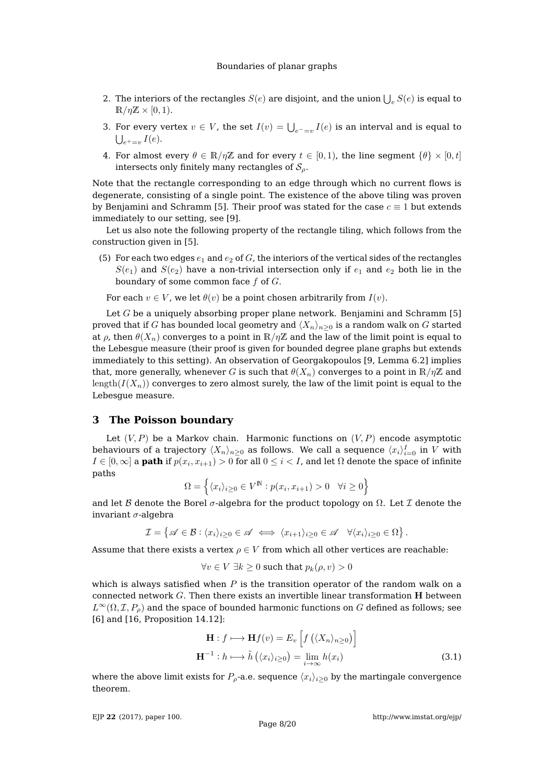- 2. The interiors of the rectangles  $S(e)$  are disjoint, and the union  $\bigcup_e S(e)$  is equal to  $\mathbb{R}/\eta\mathbb{Z} \times [0,1)$ .
- 3. For every vertex  $v \in V$ , the set  $I(v) = \bigcup_{e^- = v} I(e)$  is an interval and is equal to  $\bigcup_{e^+=v} I(e).$
- 4. For almost every  $\theta \in \mathbb{R}/\eta\mathbb{Z}$  and for every  $t \in [0,1)$ , the line segment  $\{\theta\} \times [0,t]$ intersects only finitely many rectangles of  $S_{\rho}$ .

Note that the rectangle corresponding to an edge through which no current flows is degenerate, consisting of a single point. The existence of the above tiling was proven by Benjamini and Schramm [\[5\]](#page-18-3). Their proof was stated for the case  $c \equiv 1$  but extends immediately to our setting, see [\[9\]](#page-18-0).

Let us also note the following property of the rectangle tiling, which follows from the construction given in [\[5\]](#page-18-3).

(5) For each two edges  $e_1$  and  $e_2$  of G, the interiors of the vertical sides of the rectangles  $S(e_1)$  and  $S(e_2)$  have a non-trivial intersection only if  $e_1$  and  $e_2$  both lie in the boundary of some common face  $f$  of  $G$ .

For each  $v \in V$ , we let  $\theta(v)$  be a point chosen arbitrarily from  $I(v)$ .

Let  $G$  be a uniquely absorbing proper plane network. Benjamini and Schramm [\[5\]](#page-18-3) proved that if G has bounded local geometry and  $\langle X_n \rangle_{n>0}$  is a random walk on G started at  $\rho$ , then  $\theta(X_n)$  converges to a point in  $\mathbb{R}/\eta\mathbb{Z}$  and the law of the limit point is equal to the Lebesgue measure (their proof is given for bounded degree plane graphs but extends immediately to this setting). An observation of Georgakopoulos [\[9,](#page-18-0) Lemma 6.2] implies that, more generally, whenever G is such that  $\theta(X_n)$  converges to a point in  $\mathbb{R}/\eta\mathbb{Z}$  and length( $I(X_n)$ ) converges to zero almost surely, the law of the limit point is equal to the Lebesgue measure.

### <span id="page-7-0"></span>**3 The Poisson boundary**

Let  $(V, P)$  be a Markov chain. Harmonic functions on  $(V, P)$  encode asymptotic behaviours of a trajectory  $\langle X_n\rangle_{n\geq 0}$  as follows. We call a sequence  $\langle x_i\rangle_{i=0}^I$  in  $V$  with  $I\in [0,\infty]$  a **path** if  $p(x_i,x_{i+1})>0$  for all  $0\leq i < I$ , and let  $\Omega$  denote the space of infinite paths

$$
\Omega = \left\{ \langle x_i \rangle_{i \ge 0} \in V^{\mathbb{N}} : p(x_i, x_{i+1}) > 0 \quad \forall i \ge 0 \right\}
$$

and let B denote the Borel  $\sigma$ -algebra for the product topology on  $\Omega$ . Let I denote the invariant  $\sigma$ -algebra

$$
\mathcal{I} = \left\{ \mathscr{A} \in \mathcal{B} : \langle x_i \rangle_{i \geq 0} \in \mathscr{A} \iff \langle x_{i+1} \rangle_{i \geq 0} \in \mathscr{A} \quad \forall \langle x_i \rangle_{i \geq 0} \in \Omega \right\}.
$$

Assume that there exists a vertex  $\rho \in V$  from which all other vertices are reachable:

$$
\forall v \in V \exists k \ge 0 \text{ such that } p_k(\rho, v) > 0
$$

which is always satisfied when  $P$  is the transition operator of the random walk on a connected network  $G$ . Then there exists an invertible linear transformation  $H$  between  $L^{\infty}(\Omega, \mathcal{I}, P_{\rho})$  and the space of bounded harmonic functions on G defined as follows; see [\[6\]](#page-18-18) and [\[16,](#page-18-14) Proposition 14.12]:

<span id="page-7-1"></span>
$$
\mathbf{H}: f \longmapsto \mathbf{H}f(v) = E_v \left[ f\left( \langle X_n \rangle_{n \ge 0} \right) \right]
$$

$$
\mathbf{H}^{-1}: h \longmapsto \tilde{h}\left( \langle x_i \rangle_{i \ge 0} \right) = \lim_{i \to \infty} h(x_i)
$$
(3.1)

where the above limit exists for  $P_{\rho}$ -a.e. sequence  $\langle x_i \rangle_{i\geq 0}$  by the martingale convergence theorem.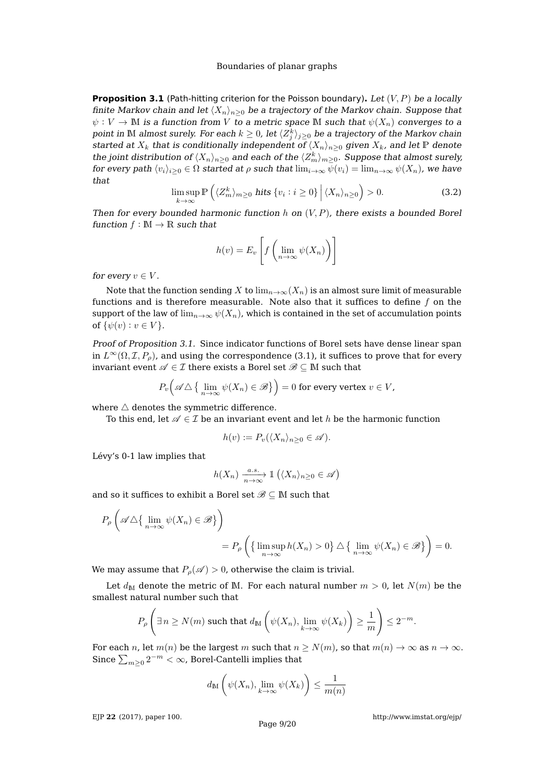<span id="page-8-0"></span>**Proposition 3.1** (Path-hitting criterion for the Poisson boundary). Let  $(V, P)$  be a locally finite Markov chain and let  $\langle X_n \rangle_{n>0}$  be a trajectory of the Markov chain. Suppose that  $\psi: V \to \mathbb{M}$  is a function from V to a metric space  $\mathbb{M}$  such that  $\psi(X_n)$  converges to a point in  $\mathbb M$  almost surely. For each  $k\geq 0$ , let  $\langle Z^k_j\rangle_{j\geq 0}$  be a trajectory of the Markov chain started at  $X_k$  that is conditionally independent of  $\langle X_n \rangle_{n\geq 0}$  given  $X_k$ , and let  $\mathbb P$  denote the joint distribution of  $\langle X_n\rangle_{n\geq 0}$  and each of the  $\langle Z^k_m\rangle_{m\geq 0}.$  Suppose that almost surely, for every path  $\langle v_i \rangle_{i\geq 0} \in \Omega$  started at  $\rho$  such that  $\lim_{i\to\infty} \psi(v_i) = \lim_{n\to\infty} \psi(X_n)$ , we have that

<span id="page-8-1"></span>
$$
\limsup_{k \to \infty} \mathbb{P}\left(\langle Z_m^k \rangle_{m \ge 0} \text{ hits } \{v_i : i \ge 0\} \, \Big| \, \langle X_n \rangle_{n \ge 0} \right) > 0. \tag{3.2}
$$

Then for every bounded harmonic function h on  $(V, P)$ , there exists a bounded Borel function  $f : \mathbb{M} \to \mathbb{R}$  such that

$$
h(v) = E_v \left[ f \left( \lim_{n \to \infty} \psi(X_n) \right) \right]
$$

for every  $v \in V$ .

Note that the function sending X to  $\lim_{n\to\infty}(X_n)$  is an almost sure limit of measurable functions and is therefore measurable. Note also that it suffices to define  $f$  on the support of the law of  $\lim_{n\to\infty}\psi(X_n)$ , which is contained in the set of accumulation points of  $\{\psi(v): v \in V\}$ .

Proof of Proposition [3.1.](#page-8-0) Since indicator functions of Borel sets have dense linear span in  $L^{\infty}(\Omega, \mathcal{I}, P_{\rho})$ , and using the correspondence [\(3.1\)](#page-7-1), it suffices to prove that for every invariant event  $\mathscr{A}\in\mathcal{I}$  there exists a Borel set  $\mathscr{B}\subseteq\mathbb{M}$  such that

$$
P_v\Big(\mathscr{A}\triangle\big\{\lim_{n\to\infty}\psi(X_n)\in\mathscr{B}\big\}\Big)=0 \text{ for every vertex } v\in V,
$$

where  $\triangle$  denotes the symmetric difference.

To this end, let  $\mathscr{A} \in \mathcal{I}$  be an invariant event and let h be the harmonic function

$$
h(v) := P_v(\langle X_n \rangle_{n \ge 0} \in \mathscr{A}).
$$

Lévy's 0-1 law implies that

$$
h(X_n) \xrightarrow[n \to \infty]{a.s.} \mathbb{1} (\langle X_n \rangle_{n \ge 0} \in \mathscr{A})
$$

and so it suffices to exhibit a Borel set  $\mathscr{B}\subseteq \mathbb{M}$  such that

$$
P_{\rho}\left(\mathscr{A}\triangle\{\lim_{n\to\infty}\psi(X_n)\in\mathscr{B}\}\right)
$$
  
= 
$$
P_{\rho}\left(\{\limsup_{n\to\infty}h(X_n)>0\}\triangle\{\lim_{n\to\infty}\psi(X_n)\in\mathscr{B}\}\right)=0.
$$

We may assume that  $P_{\rho}(\mathscr{A}) > 0$ , otherwise the claim is trivial.

Let  $d_M$  denote the metric of M. For each natural number  $m > 0$ , let  $N(m)$  be the smallest natural number such that

$$
P_{\rho}\left(\exists n\geq N(m) \text{ such that } d_{\mathbb{M}}\left(\psi(X_n), \lim_{k\to\infty}\psi(X_k)\right)\geq \frac{1}{m}\right)\leq 2^{-m}.
$$

For each n, let  $m(n)$  be the largest m such that  $n \ge N(m)$ , so that  $m(n) \to \infty$  as  $n \to \infty$ . Since  $\sum_{m\geq 0} 2^{-m} < \infty$ , Borel-Cantelli implies that

$$
d_{\mathbb{M}}\left(\psi(X_n), \lim_{k\to\infty}\psi(X_k)\right) \leq \frac{1}{m(n)}
$$

EJP **22** [\(2017\), paper 100.](http://dx.doi.org/10.1214/17-EJP116)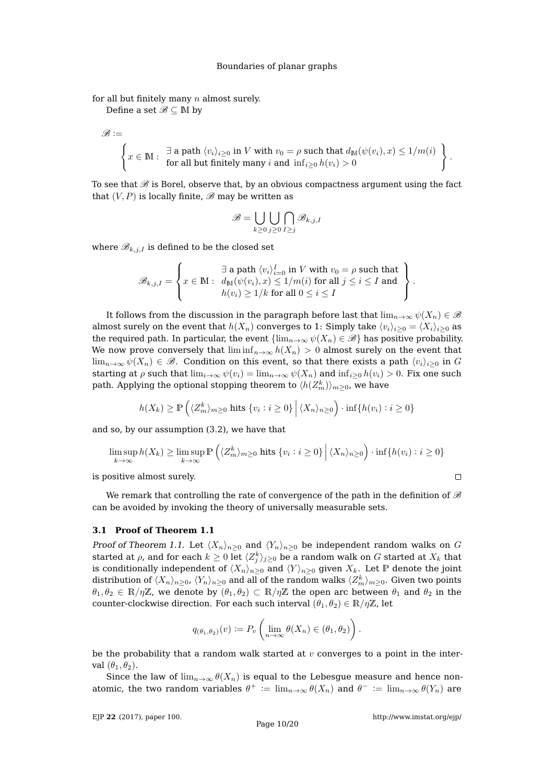for all but finitely many  $n$  almost surely.

Define a set  $\mathscr{B} \subseteq M$  by

$$
\mathscr{B}:=
$$

 $\begin{cases} x \in \mathbb{N}: \frac{\exists \text{ a path } \langle v_i \rangle_{i \geq 0} \text{ in } V \text{ with } v_0 = \rho \text{ such that } d_{\mathbb{M}}(\psi(v_i), x) \leq 1/m(i) \end{cases}$ for all but finitely many  $i$  and  $\inf_{i\geq 0} h(v_i) > 0$  $\lambda$ .

To see that  $\mathscr B$  is Borel, observe that, by an obvious compactness argument using the fact that  $(V, P)$  is locally finite,  $\mathscr B$  may be written as

$$
\mathscr{B}=\bigcup_{k\geq 0}\bigcup_{j\geq 0}\bigcap_{I\geq j}\mathscr{B}_{k,j,I}
$$

where  $\mathscr{B}_{k,j,I}$  is defined to be the closed set

$$
\mathscr{B}_{k,j,I} = \left\{ x \in \mathbb{M}: \begin{array}{l} \exists \text{ a path } \langle v_i \rangle_{i=0}^I \text{ in } V \text{ with } v_0 = \rho \text{ such that } \\ x \in \mathbb{M}: \begin{array}{l} d_\mathbb{M}(\psi(v_i), x) \leq 1/m(i) \text{ for all } j \leq i \leq I \text{ and } \\ h(v_i) \geq 1/k \text{ for all } 0 \leq i \leq I \end{array} \right\}.
$$

It follows from the discussion in the paragraph before last that  $\lim_{n\to\infty}\psi(X_n)\in\mathscr{B}$ almost surely on the event that  $h(X_n)$  converges to 1: Simply take  $\langle v_i \rangle_{i\geq 0} = \langle X_i \rangle_{i\geq 0}$  as the required path. In particular, the event  $\{\lim_{n\to\infty}\psi(X_n)\in\mathscr{B}\}\)$  has positive probability. We now prove conversely that  $\liminf_{n\to\infty} h(X_n) > 0$  almost surely on the event that  $\lim_{n\to\infty}\psi(X_n)\in\mathscr{B}$ . Condition on this event, so that there exists a path  $\langle v_i\rangle_{i\geq 0}$  in G starting at  $\rho$  such that  $\lim_{i\to\infty}\psi(v_i) = \lim_{n\to\infty}\psi(X_n)$  and  $\inf_{i>0}h(v_i) > 0$ . Fix one such path. Applying the optional stopping theorem to  $\langle h(Z_m^k)\rangle_{m\geq 0}$ , we have

$$
h(X_k) \ge \mathbb{P}\left(\langle Z_m^k \rangle_{m \ge 0} \text{ hits } \{v_i : i \ge 0\} \, \Big| \, \langle X_n \rangle_{n \ge 0}\right) \cdot \inf\{h(v_i) : i \ge 0\}
$$

and so, by our assumption [\(3.2\)](#page-8-1), we have that

$$
\limsup_{k \to \infty} h(X_k) \ge \limsup_{k \to \infty} \mathbb{P}\left(\langle Z_m^k \rangle_{m \ge 0} \text{ hits } \{v_i : i \ge 0\} \middle| \langle X_n \rangle_{n \ge 0}\right) \cdot \inf\{h(v_i) : i \ge 0\}
$$

is positive almost surely.

We remark that controlling the rate of convergence of the path in the definition of  $\mathscr B$ can be avoided by invoking the theory of universally measurable sets.

#### **3.1 Proof of Theorem [1.1](#page-1-0)**

Proof of Theorem [1.1.](#page-1-0) Let  $\langle X_n \rangle_{n>0}$  and  $\langle Y_n \rangle_{n>0}$  be independent random walks on G started at  $\rho$ , and for each  $k\geq 0$  let  $\langle Z_j^k \rangle_{j\geq 0}$  be a random walk on  $G$  started at  $X_k$  that is conditionally independent of  $\langle X_n \rangle_{n\geq 0}$  and  $\langle Y \rangle_{n\geq 0}$  given  $X_k$ . Let P denote the joint distribution of  $\langle X_n\rangle_{n\geq 0}$ ,  $\langle Y_n\rangle_{n\geq 0}$  and all of the random walks  $\langle Z^k_m\rangle_{m\geq 0}.$  Given two points  $\theta_1, \theta_2 \in \mathbb{R}/\eta\mathbb{Z}$ , we denote by  $(\theta_1, \theta_2) \subset \mathbb{R}/\eta\mathbb{Z}$  the open arc between  $\theta_1$  and  $\theta_2$  in the counter-clockwise direction. For each such interval  $(\theta_1, \theta_2) \in \mathbb{R}/\eta \mathbb{Z}$ , let

$$
q_{(\theta_1,\theta_2)}(v) := P_v \left( \lim_{n \to \infty} \theta(X_n) \in (\theta_1,\theta_2) \right).
$$

be the probability that a random walk started at  $v$  converges to a point in the interval  $(\theta_1, \theta_2)$ .

Since the law of  $\lim_{n\to\infty} \theta(X_n)$  is equal to the Lebesgue measure and hence nonatomic, the two random variables  $\theta^+ := \lim_{n\to\infty} \theta(X_n)$  and  $\theta^- := \lim_{n\to\infty} \theta(Y_n)$  are

 $\Box$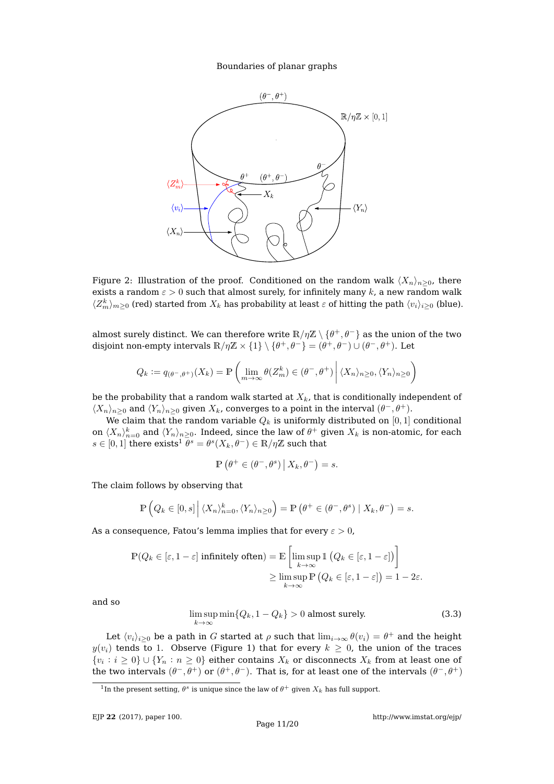

Figure 2: Illustration of the proof. Conditioned on the random walk  $\langle X_n \rangle_{n>0}$ , there exists a random  $\varepsilon > 0$  such that almost surely, for infinitely many k, a new random walk  $\langle Z_m^k\rangle_{m\geq0}$  (red) started from  $X_k$  has probability at least  $\varepsilon$  of hitting the path  $\langle v_i\rangle_{i\geq0}$  (blue).

almost surely distinct. We can therefore write  $\mathbb{R}/\eta\mathbb{Z}\setminus\{\theta^+,\theta^-\}$  as the union of the two disjoint non-empty intervals  $\mathbb{R}/\eta\mathbb{Z} \times \{1\} \setminus \{\theta^+, \theta^-\} = (\theta^+, \theta^-) \cup (\theta^-, \theta^+).$  Let

$$
Q_k := q_{(\theta^-, \theta^+)}(X_k) = \mathbb{P}\left(\lim_{m \to \infty} \theta(Z_m^k) \in (\theta^-, \theta^+) \middle| \langle X_n \rangle_{n \ge 0}, \langle Y_n \rangle_{n \ge 0}\right)
$$

be the probability that a random walk started at  $X_k$ , that is conditionally independent of  $\langle X_n \rangle_{n\geq 0}$  and  $\langle Y_n \rangle_{n\geq 0}$  given  $X_k$ , converges to a point in the interval  $(\theta^-, \theta^+)$ .

We claim that the random variable  $Q_k$  is uniformly distributed on [0, 1] conditional on  $\langle X_n\rangle_{n=0}^k$  and  $\langle Y_n\rangle_{n\geq 0}.$  Indeed, since the law of  $\theta^+$  given  $X_k$  is non-atomic, for each  $s\in[0,1]$  $s\in[0,1]$  $s\in[0,1]$  there  $\mathrm{exists}^1\ \overline{\theta^s}=\theta^s(X_k,\theta^-)\in\mathbb{R}/\eta\mathbb{Z}$  such that

$$
\mathbb{P}\left(\theta^+\in(\theta^-,\theta^s)\,\big|\,X_k,\theta^-\right)=s.
$$

The claim follows by observing that

$$
\mathbb{P}\left(Q_k \in [0,s] \,\middle|\, \langle X_n \rangle_{n=0}^k, \langle Y_n \rangle_{n\geq 0}\right) = \mathbb{P}\left(\theta^+ \in (\theta^-, \theta^s) \mid X_k, \theta^-\right) = s.
$$

As a consequence, Fatou's lemma implies that for every  $\varepsilon > 0$ ,

$$
\mathbb{P}(Q_k \in [\varepsilon, 1-\varepsilon] \text{ infinitely often}) = \mathbb{E}\left[\limsup_{k \to \infty} \mathbb{1}\left(Q_k \in [\varepsilon, 1-\varepsilon]\right)\right]
$$

$$
\geq \limsup_{k \to \infty} \mathbb{P}\left(Q_k \in [\varepsilon, 1-\varepsilon]\right) = 1 - 2\varepsilon.
$$

and so

<span id="page-10-1"></span>
$$
\limsup_{k \to \infty} \min \{ Q_k, 1 - Q_k \} > 0 \text{ almost surely.}
$$
\n(3.3)

Let  $\langle v_i\rangle_{i\geq 0}$  be a path in  $G$  started at  $\rho$  such that  $\lim_{i\to\infty} \theta(v_i) = \theta^+$  and the height  $y(v_i)$  tends to 1. Observe (Figure [1\)](#page-2-0) that for every  $k \geq 0$ , the union of the traces  $\{v_i : i \geq 0\} \cup \{Y_n : n \geq 0\}$  either contains  $X_k$  or disconnects  $X_k$  from at least one of the two intervals  $(\theta^-,\theta^+)$  or  $(\theta^+,\theta^-)$ . That is, for at least one of the intervals  $(\theta^-,\theta^+)$ 

<span id="page-10-0"></span><sup>&</sup>lt;sup>1</sup>In the present setting,  $\theta^s$  is unique since the law of  $\theta^+$  given  $X_k$  has full support.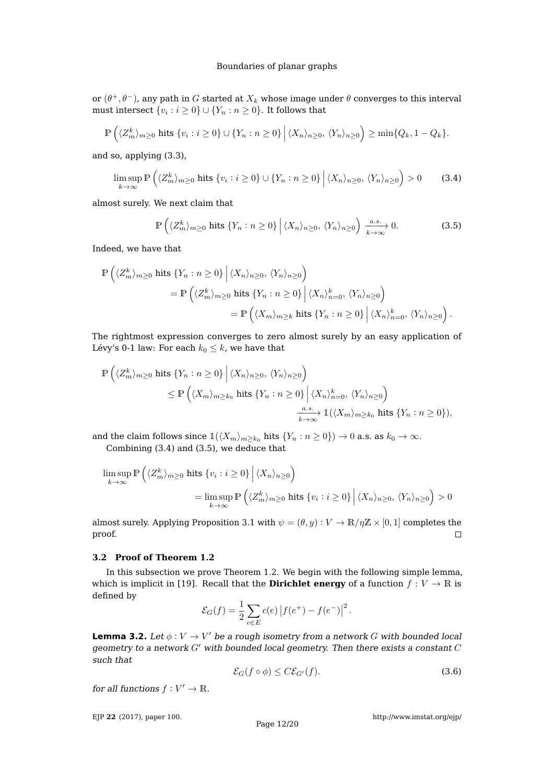or  $(\theta^+,\theta^-)$ , any path in  $G$  started at  $X_k$  whose image under  $\theta$  converges to this interval must intersect  $\{v_i : i \geq 0\} \cup \{Y_n : n \geq 0\}$ . It follows that

$$
\mathbb{P}\left(\langle Z_m^k\rangle_{m\geq 0} \text{ hits } \{v_i : i \geq 0\} \cup \{Y_n : n \geq 0\} \, \Big| \, \langle X_n\rangle_{n\geq 0}, \, \langle Y_n\rangle_{n\geq 0}\right) \geq \min\{Q_k, 1 - Q_k\}.
$$

and so, applying [\(3.3\)](#page-10-1),

<span id="page-11-0"></span>
$$
\limsup_{k \to \infty} \mathbb{P}\left(\langle Z_m^k \rangle_{m \ge 0} \text{ hits } \{v_i : i \ge 0\} \cup \{Y_n : n \ge 0\} \, \Big| \, \langle X_n \rangle_{n \ge 0}, \, \langle Y_n \rangle_{n \ge 0} \right) > 0 \tag{3.4}
$$

almost surely. We next claim that

<span id="page-11-1"></span>
$$
\mathbb{P}\left(\langle Z_m^k\rangle_{m\geq 0} \text{ hits } \{Y_n : n \geq 0\} \middle| \langle X_n\rangle_{n\geq 0}, \langle Y_n\rangle_{n\geq 0}\right) \xrightarrow[k \to \infty]{a.s.} 0. \tag{3.5}
$$

Indeed, we have that

$$
\mathbb{P}\left(\langle Z_m^k\rangle_{m\geq 0} \text{ hits } \{Y_n : n \geq 0\} \Big| \langle X_n\rangle_{n\geq 0}, \langle Y_n\rangle_{n\geq 0}\right)
$$
  
= 
$$
\mathbb{P}\left(\langle Z_m^k\rangle_{m\geq 0} \text{ hits } \{Y_n : n \geq 0\} \Big| \langle X_n\rangle_{n=0}^k, \langle Y_n\rangle_{n\geq 0}\right)
$$
  
= 
$$
\mathbb{P}\left(\langle X_m\rangle_{m\geq k} \text{ hits } \{Y_n : n \geq 0\} \Big| \langle X_n\rangle_{n=0}^k, \langle Y_n\rangle_{n\geq 0}\right).
$$

The rightmost expression converges to zero almost surely by an easy application of Lévy's 0-1 law: For each  $k_0 \leq k$ , we have that

$$
\begin{split} \mathbb{P}\left(\langle Z_{m}^{k}\rangle_{m\geq 0} \text{ hits } \{Y_{n}:n\geq 0\}\left|\langle X_{n}\rangle_{n\geq 0},\,\langle Y_{n}\rangle_{n\geq 0}\right.\right) \\ &\leq \mathbb{P}\left(\langle X_{m}\rangle_{m\geq k_{0}} \text{ hits } \{Y_{n}:n\geq 0\}\left|\langle X_{n}\rangle_{n=0}^{k},\,\langle Y_{n}\rangle_{n\geq 0}\right.\right) \\ &\xrightarrow[k\to\infty]{a.s.} \mathbb{1}(\langle X_{m}\rangle_{m\geq k_{0}} \text{ hits } \{Y_{n}:n\geq 0\}), \end{split}
$$

and the claim follows since  $\mathbb{1}(\langle X_m \rangle_{m \geq k_0}$  hits  $\{Y_n : n \geq 0\}$   $\to 0$  a.s. as  $k_0 \to \infty$ . Combining [\(3.4\)](#page-11-0) and [\(3.5\)](#page-11-1), we deduce that

$$
\limsup_{k \to \infty} \mathbb{P}\left(\langle Z_m^k \rangle_{m \ge 0} \text{ hits } \{v_i : i \ge 0\} \middle| \langle X_n \rangle_{n \ge 0}\right)
$$
\n
$$
= \limsup_{k \to \infty} \mathbb{P}\left(\langle Z_m^k \rangle_{m \ge 0} \text{ hits } \{v_i : i \ge 0\} \middle| \langle X_n \rangle_{n \ge 0}, \langle Y_n \rangle_{n \ge 0}\right) > 0
$$

almost surely. Applying Proposition [3.1](#page-8-0) with  $\psi = (\theta, y) : V \to \mathbb{R}/\eta\mathbb{Z} \times [0, 1]$  completes the proof.  $\Box$ 

### **3.2 Proof of Theorem [1.2](#page-3-0)**

In this subsection we prove Theorem [1.2.](#page-3-0) We begin with the following simple lemma, which is implicit in [\[19\]](#page-18-19). Recall that the **Dirichlet energy** of a function  $f: V \to \mathbb{R}$  is defined by

$$
\mathcal{E}_G(f) = \frac{1}{2} \sum_{e \in E} c(e) |f(e^+) - f(e^-)|^2.
$$

<span id="page-11-3"></span>**Lemma 3.2.** Let  $\phi: V \to V'$  be a rough isometry from a network G with bounded local geometry to a network  $G'$  with bounded local geometry. Then there exists a constant  $C$ such that

<span id="page-11-2"></span>
$$
\mathcal{E}_G(f \circ \phi) \le C \mathcal{E}_{G'}(f). \tag{3.6}
$$

for all functions  $f: V' \to \mathbb{R}$ .

EJP **22** [\(2017\), paper 100.](http://dx.doi.org/10.1214/17-EJP116)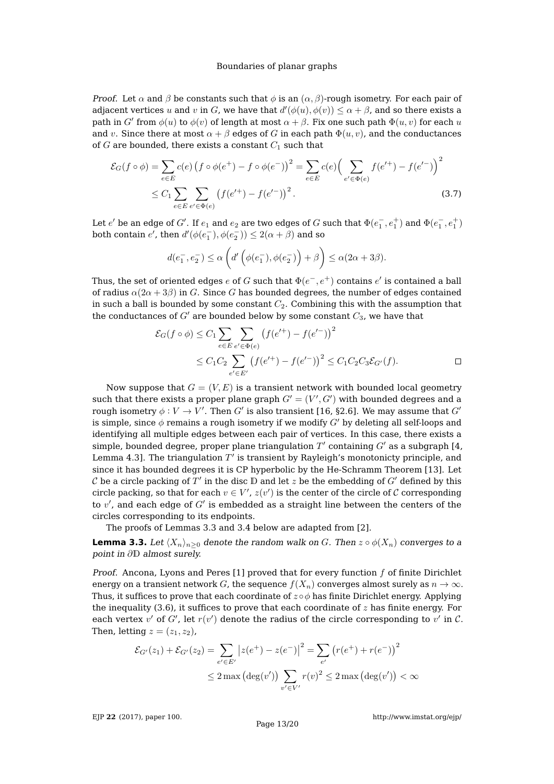*Proof.* Let  $\alpha$  and  $\beta$  be constants such that  $\phi$  is an  $(\alpha, \beta)$ -rough isometry. For each pair of adjacent vertices u and v in G, we have that  $d'(\phi(u), \phi(v)) \leq \alpha + \beta$ , and so there exists a path in  $G'$  from  $\phi(u)$  to  $\phi(v)$  of length at most  $\alpha + \beta$ . Fix one such path  $\Phi(u, v)$  for each  $u$ and v. Since there at most  $\alpha + \beta$  edges of G in each path  $\Phi(u, v)$ , and the conductances of  $G$  are bounded, there exists a constant  $C_1$  such that

$$
\mathcal{E}_G(f \circ \phi) = \sum_{e \in E} c(e) (f \circ \phi(e^+) - f \circ \phi(e^-))^2 = \sum_{e \in E} c(e) \Big( \sum_{e' \in \Phi(e)} f(e'^+) - f(e'^-) \Big)^2
$$
  
 
$$
\leq C_1 \sum_{e \in E} \sum_{e' \in \Phi(e)} (f(e'^+) - f(e'^-))^2.
$$
 (3.7)

Let  $e'$  be an edge of  $G'$ . If  $e_1$  and  $e_2$  are two edges of  $G$  such that  $\Phi(e_1^-,e_1^+)$  and  $\Phi(e_1^-,e_1^+)$ both contain  $e'$ , then  $d'(\phi(e_1^-), \phi(e_2^-)) \leq 2(\alpha + \beta)$  and so

$$
d(e_1^-, e_2^-) \le \alpha \left( d' \left( \phi(e_1^-), \phi(e_2^-) \right) + \beta \right) \le \alpha (2\alpha + 3\beta).
$$

Thus, the set of oriented edges  $e$  of  $G$  such that  $\Phi(e^-,e^+)$  contains  $e'$  is contained a ball of radius  $\alpha(2\alpha + 3\beta)$  in G. Since G has bounded degrees, the number of edges contained in such a ball is bounded by some constant  $C_2$ . Combining this with the assumption that the conductances of  $G'$  are bounded below by some constant  $C_3$ , we have that

$$
\mathcal{E}_G(f \circ \phi) \le C_1 \sum_{e \in E} \sum_{e' \in \Phi(e)} \left( f(e'^+) - f(e'^-) \right)^2
$$
  
 
$$
\le C_1 C_2 \sum_{e' \in E'} \left( f(e'^+) - f(e'^-) \right)^2 \le C_1 C_2 C_3 \mathcal{E}_{G'}(f). \square
$$

Now suppose that  $G = (V, E)$  is a transient network with bounded local geometry such that there exists a proper plane graph  $G' = (V', G')$  with bounded degrees and a rough isometry  $\phi: V \to V'$ . Then  $G'$  is also transient [\[16,](#page-18-14) §2.6]. We may assume that  $G'$ is simple, since  $\phi$  remains a rough isometry if we modify G' by deleting all self-loops and identifying all multiple edges between each pair of vertices. In this case, there exists a simple, bounded degree, proper plane triangulation  $T^\prime$  containing  $G^\prime$  as a subgraph [\[4,](#page-18-9) Lemma 4.3]. The triangulation  $T'$  is transient by Rayleigh's monotonicty principle, and since it has bounded degrees it is CP hyperbolic by the He-Schramm Theorem [\[13\]](#page-18-8). Let  $\mathcal C$  be a circle packing of  $T'$  in the disc  $\mathbb D$  and let  $z$  be the embedding of  $G'$  defined by this circle packing, so that for each  $v \in V'$ ,  $z(v')$  is the center of the circle of C corresponding to  $v^\prime$ , and each edge of  $G^\prime$  is embedded as a straight line between the centers of the circles corresponding to its endpoints.

The proofs of Lemmas [3.3](#page-12-0) and [3.4](#page-13-0) below are adapted from [\[2\]](#page-18-1).

<span id="page-12-0"></span>**Lemma 3.3.** Let  $\langle X_n \rangle_{n>0}$  denote the random walk on G. Then  $z \circ \phi(X_n)$  converges to a point in ∂D almost surely.

Proof. Ancona, Lyons and Peres  $[1]$  proved that for every function  $f$  of finite Dirichlet energy on a transient network G, the sequence  $f(X_n)$  converges almost surely as  $n \to \infty$ . Thus, it suffices to prove that each coordinate of  $z \circ \phi$  has finite Dirichlet energy. Applying the inequality  $(3.6)$ , it suffices to prove that each coordinate of z has finite energy. For each vertex  $v'$  of  $G'$ , let  $r(v')$  denote the radius of the circle corresponding to  $v'$  in  $\mathcal{C}$ . Then, letting  $z = (z_1, z_2)$ ,

$$
\mathcal{E}_{G'}(z_1) + \mathcal{E}_{G'}(z_2) = \sum_{e' \in E'} |z(e^+) - z(e^-)|^2 = \sum_{e'} (r(e^+) + r(e^-))^2
$$
  
 
$$
\leq 2 \max (\deg(v')) \sum_{v' \in V'} r(v)^2 \leq 2 \max (\deg(v')) < \infty
$$

EJP **22** [\(2017\), paper 100.](http://dx.doi.org/10.1214/17-EJP116)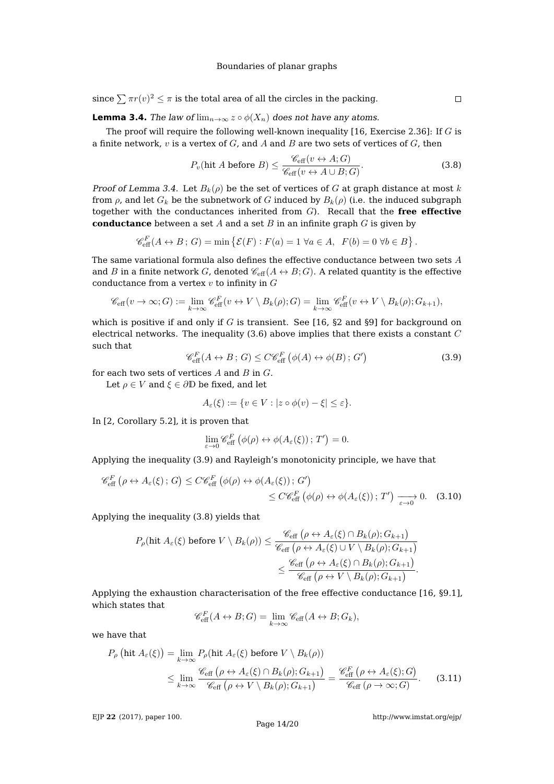since  $\sum \pi r(v)^2 \leq \pi$  is the total area of all the circles in the packing.

<span id="page-13-0"></span>**Lemma 3.4.** The law of  $\lim_{n\to\infty} z \circ \phi(X_n)$  does not have any atoms.

The proof will require the following well-known inequality [\[16,](#page-18-14) Exercise 2.36]: If  $G$  is a finite network,  $v$  is a vertex of  $G$ , and  $A$  and  $B$  are two sets of vertices of  $G$ , then

<span id="page-13-2"></span>
$$
P_v(\text{hit } A \text{ before } B) \le \frac{\mathscr{C}_{\text{eff}}(v \leftrightarrow A; G)}{\mathscr{C}_{\text{eff}}(v \leftrightarrow A \cup B; G)}.
$$
\n(3.8)

Proof of Lemma [3.4.](#page-13-0) Let  $B_k(\rho)$  be the set of vertices of G at graph distance at most k from  $\rho$ , and let  $G_k$  be the subnetwork of G induced by  $B_k(\rho)$  (i.e. the induced subgraph together with the conductances inherited from G). Recall that the **free effective conductance** between a set A and a set B in an infinite graph G is given by

$$
\mathcal{C}_{\text{eff}}^F(A \leftrightarrow B; G) = \min \left\{ \mathcal{E}(F) : F(a) = 1 \,\forall a \in A, \, F(b) = 0 \,\forall b \in B \right\}.
$$

The same variational formula also defines the effective conductance between two sets A and B in a finite network G, denoted  $\mathcal{C}_{\text{eff}}(A \leftrightarrow B; G)$ . A related quantity is the effective conductance from a vertex  $v$  to infinity in  $G$ 

$$
\mathscr{C}_{\text{eff}}(v \to \infty; G) := \lim_{k \to \infty} \mathscr{C}_{\text{eff}}^F(v \leftrightarrow V \setminus B_k(\rho); G) = \lim_{k \to \infty} \mathscr{C}_{\text{eff}}^F(v \leftrightarrow V \setminus B_k(\rho); G_{k+1}),
$$

which is positive if and only if G is transient. See [\[16,](#page-18-14)  $\S2$  and  $\S9$ ] for background on electrical networks. The inequality  $(3.6)$  above implies that there exists a constant  $C$ such that

<span id="page-13-1"></span>
$$
\mathcal{C}_{\text{eff}}^F(A \leftrightarrow B; G) \leq C \mathcal{C}_{\text{eff}}^F \left( \phi(A) \leftrightarrow \phi(B); G' \right) \tag{3.9}
$$

for each two sets of vertices  $A$  and  $B$  in  $G$ .

Let  $\rho \in V$  and  $\xi \in \partial \mathbb{D}$  be fixed, and let

$$
A_{\varepsilon}(\xi) := \{ v \in V : |z \circ \phi(v) - \xi| \le \varepsilon \}.
$$

In [\[2,](#page-18-1) Corollary 5.2], it is proven that

<span id="page-13-3"></span>
$$
\lim_{\varepsilon \to 0} \mathscr{C}_{\text{eff}}^F \left( \phi(\rho) \leftrightarrow \phi(A_{\varepsilon}(\xi)) \, ; \, T' \right) = 0.
$$

Applying the inequality [\(3.9\)](#page-13-1) and Rayleigh's monotonicity principle, we have that

$$
\mathcal{C}_{\text{eff}}^{F}(\rho \leftrightarrow A_{\varepsilon}(\xi); G) \leq C \mathcal{C}_{\text{eff}}^{F}(\phi(\rho) \leftrightarrow \phi(A_{\varepsilon}(\xi)); G') \leq C \mathcal{C}_{\text{eff}}^{F}(\phi(\rho) \leftrightarrow \phi(A_{\varepsilon}(\xi)); T') \xrightarrow[\varepsilon \to 0]{} 0. \quad (3.10)
$$

Applying the inequality [\(3.8\)](#page-13-2) yields that

$$
P_{\rho}(\text{hit } A_{\varepsilon}(\xi) \text{ before } V \setminus B_{k}(\rho)) \leq \frac{\mathscr{C}_{\text{eff}}\left(\rho \leftrightarrow A_{\varepsilon}(\xi) \cap B_{k}(\rho); G_{k+1}\right)}{\mathscr{C}_{\text{eff}}\left(\rho \leftrightarrow A_{\varepsilon}(\xi) \cup V \setminus B_{k}(\rho); G_{k+1}\right)} \leq \frac{\mathscr{C}_{\text{eff}}\left(\rho \leftrightarrow A_{\varepsilon}(\xi) \cap B_{k}(\rho); G_{k+1}\right)}{\mathscr{C}_{\text{eff}}\left(\rho \leftrightarrow V \setminus B_{k}(\rho); G_{k+1}\right)}.
$$

Applying the exhaustion characterisation of the free effective conductance [\[16,](#page-18-14) §9.1], which states that

<span id="page-13-4"></span>
$$
\mathscr{C}_{\text{eff}}^F(A \leftrightarrow B; G) = \lim_{k \to \infty} \mathscr{C}_{\text{eff}}(A \leftrightarrow B; G_k),
$$

we have that

$$
P_{\rho}\left(\text{hit } A_{\varepsilon}(\xi)\right) = \lim_{k \to \infty} P_{\rho}(\text{hit } A_{\varepsilon}(\xi) \text{ before } V \setminus B_{k}(\rho))
$$
  
\$\leq \lim\_{k \to \infty} \frac{\mathscr{C}\_{\text{eff}}\left(\rho \leftrightarrow A\_{\varepsilon}(\xi) \cap B\_{k}(\rho); G\_{k+1}\right)}{\mathscr{C}\_{\text{eff}}\left(\rho \leftrightarrow V \setminus B\_{k}(\rho); G\_{k+1}\right)} = \frac{\mathscr{C}\_{\text{eff}}^{F}\left(\rho \leftrightarrow A\_{\varepsilon}(\xi); G\right)}{\mathscr{C}\_{\text{eff}}\left(\rho \to \infty; G\right)}. (3.11)

EJP **22** [\(2017\), paper 100.](http://dx.doi.org/10.1214/17-EJP116)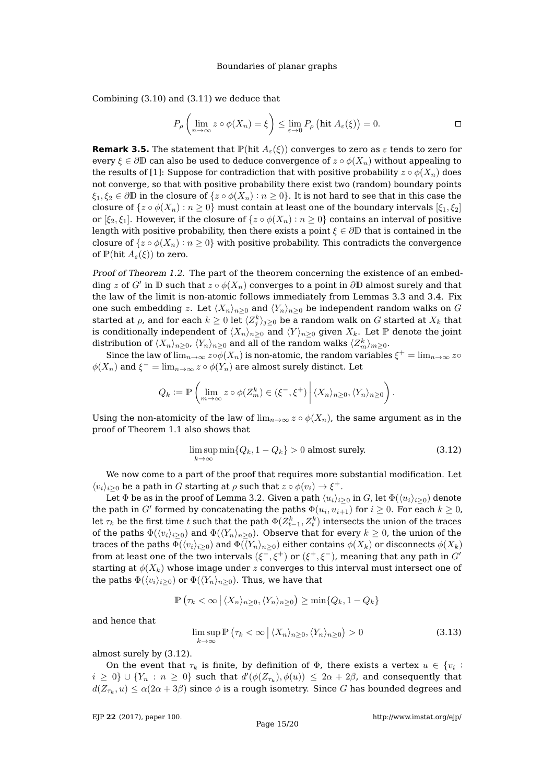Combining [\(3.10\)](#page-13-3) and [\(3.11\)](#page-13-4) we deduce that

$$
P_{\rho}\left(\lim_{n\to\infty}z\circ\phi(X_n)=\xi\right)\leq \lim_{\varepsilon\to 0}P_{\rho}\left(\text{hit }A_{\varepsilon}(\xi)\right)=0.\qquad \qquad \Box
$$

**Remark 3.5.** The statement that  $\mathbb{P}(\text{hit } A_{\varepsilon}(\xi))$  converges to zero as  $\varepsilon$  tends to zero for every  $\xi \in \partial \mathbb{D}$  can also be used to deduce convergence of  $z \circ \phi(X_n)$  without appealing to the results of [\[1\]](#page-18-20): Suppose for contradiction that with positive probability  $z \circ \phi(X_n)$  does not converge, so that with positive probability there exist two (random) boundary points  $\xi_1, \xi_2 \in \partial \mathbb{D}$  in the closure of  $\{z \circ \phi(X_n) : n \geq 0\}$ . It is not hard to see that in this case the closure of  $\{z \circ \phi(X_n) : n \geq 0\}$  must contain at least one of the boundary intervals  $[\xi_1, \xi_2]$ or  $[\xi_2, \xi_1]$ . However, if the closure of  $\{z \circ \phi(X_n) : n \geq 0\}$  contains an interval of positive length with positive probability, then there exists a point  $\xi \in \partial \mathbb{D}$  that is contained in the closure of  $\{z \circ \phi(X_n) : n \geq 0\}$  with positive probability. This contradicts the convergence of  $\mathbb{P}(\text{hit }A_{\varepsilon}(\xi))$  to zero.

Proof of Theorem [1.2.](#page-3-0) The part of the theorem concerning the existence of an embedding  $z$  of  $G'$  in  $\mathbb D$  such that  $z\circ \phi(X_n)$  converges to a point in  $\partial \mathbb D$  almost surely and that the law of the limit is non-atomic follows immediately from Lemmas [3.3](#page-12-0) and [3.4.](#page-13-0) Fix one such embedding z. Let  $\langle X_n \rangle_{n\geq 0}$  and  $\langle Y_n \rangle_{n\geq 0}$  be independent random walks on G started at  $\rho$ , and for each  $k\geq 0$  let  $\langle Z_j^k \rangle_{j\geq 0}$  be a random walk on  $G$  started at  $X_k$  that is conditionally independent of  $\langle X_n \rangle_{n\geq 0}$  and  $\langle Y \rangle_{n\geq 0}$  given  $X_k$ . Let P denote the joint distribution of  $\langle X_n\rangle_{n\geq 0}$ ,  $\langle Y_n\rangle_{n\geq 0}$  and all of the random walks  $\langle Z_m^k\rangle_{m\geq 0}.$ 

Since the law of  $\lim_{n\to\infty}z\circ\phi(X_n)$  is non-atomic, the random variables  $\xi^+=\lim_{n\to\infty}z\circ\phi(X_n)$  $\phi(X_n)$  and  $\xi^- = \lim_{n \to \infty} z \circ \phi(Y_n)$  are almost surely distinct. Let

$$
Q_k := \mathbb{P}\left(\lim_{m\to\infty} z \circ \phi(Z_m^k) \in (\xi^-, \xi^+) \middle| \langle X_n \rangle_{n\geq 0}, \langle Y_n \rangle_{n\geq 0}\right).
$$

Using the non-atomicity of the law of  $\lim_{n\to\infty} z \circ \phi(X_n)$ , the same argument as in the proof of Theorem [1.1](#page-1-0) also shows that

<span id="page-14-0"></span>
$$
\limsup_{k \to \infty} \min \{Q_k, 1 - Q_k\} > 0 \text{ almost surely.}
$$
\n(3.12)

We now come to a part of the proof that requires more substantial modification. Let  $\langle v_i \rangle_{i \geq 0}$  be a path in G starting at  $\rho$  such that  $z \circ \phi(v_i) \to \xi^+$ .

Let  $\Phi$  be as in the proof of Lemma [3.2.](#page-11-3) Given a path  $\langle u_i \rangle_{i\geq 0}$  in G, let  $\Phi(\langle u_i \rangle_{i\geq 0})$  denote the path in  $G'$  formed by concatenating the paths  $\Phi(u_i, u_{i+1})$  for  $i \geq 0$ . For each  $k \geq 0$ , let  $\tau_k$  be the first time  $t$  such that the path  $\Phi(Z_{t-1}^k,Z_t^k)$  intersects the union of the traces of the paths  $\Phi(\langle v_i \rangle_{i\geq 0})$  and  $\Phi(\langle Y_n \rangle_{n\geq 0})$ . Observe that for every  $k \geq 0$ , the union of the traces of the paths  $\Phi(\langle v_i \rangle_{i>0})$  and  $\Phi(\langle Y_n \rangle_{n>0})$  either contains  $\phi(X_k)$  or disconnects  $\phi(X_k)$ from at least one of the two intervals  $(\xi^-,\xi^+)$  or  $(\xi^+,\xi^-)$ , meaning that any path in  $G'$ starting at  $\phi(X_k)$  whose image under z converges to this interval must intersect one of the paths  $\Phi(\langle v_i \rangle_{i>0})$  or  $\Phi(\langle Y_n \rangle_{n>0})$ . Thus, we have that

$$
\mathbb{P}\left(\tau_k < \infty \, \big| \, \langle X_n \rangle_{n\geq 0}, \langle Y_n \rangle_{n\geq 0}\right) \geq \min\{Q_k, 1 - Q_k\}
$$

and hence that

<span id="page-14-1"></span>
$$
\limsup_{k \to \infty} \mathbb{P}\left(\tau_k < \infty \, \left| \, \langle X_n \rangle_{n \ge 0}, \langle Y_n \rangle_{n \ge 0} \right) > 0 \tag{3.13}
$$

almost surely by [\(3.12\)](#page-14-0).

On the event that  $\tau_k$  is finite, by definition of  $\Phi$ , there exists a vertex  $u \in \{v_i :$  $i \geq 0$ }  $\cup$   $\{Y_n : n \geq 0\}$  such that  $d'(\phi(Z_{\tau_k}), \phi(u)) \leq 2\alpha + 2\beta$ , and consequently that  $d(Z_{\tau_k},u)\leq \alpha(2\alpha+3\beta)$  since  $\phi$  is a rough isometry. Since  $G$  has bounded degrees and

EJP **22** [\(2017\), paper 100.](http://dx.doi.org/10.1214/17-EJP116)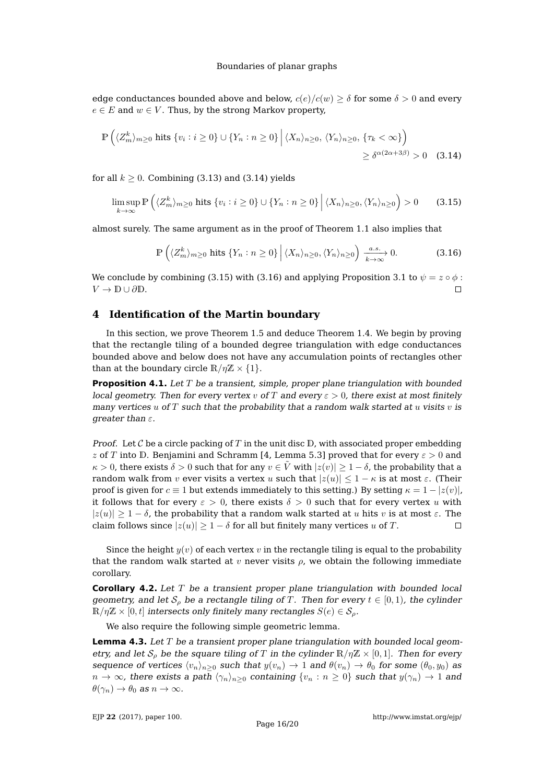edge conductances bounded above and below,  $c(e)/c(w) > \delta$  for some  $\delta > 0$  and every  $e \in E$  and  $w \in V$ . Thus, by the strong Markov property,

$$
\mathbb{P}\left(\langle Z_{m}^{k}\rangle_{m\geq0} \text{ hits } \{v_{i}: i\geq0\} \cup \{Y_{n}: n\geq0\} \middle| \langle X_{n}\rangle_{n\geq0}, \langle Y_{n}\rangle_{n\geq0}, \{\tau_{k}<\infty\}\right) \geq \delta^{\alpha(2\alpha+3\beta)} > 0 \quad (3.14)
$$

for all  $k \geq 0$ . Combining [\(3.13\)](#page-14-1) and [\(3.14\)](#page-15-0) yields

<span id="page-15-1"></span>
$$
\limsup_{k \to \infty} \mathbb{P}\left(\langle Z_m^k \rangle_{m \ge 0} \text{ hits } \{v_i : i \ge 0\} \cup \{Y_n : n \ge 0\} \, \Big| \, \langle X_n \rangle_{n \ge 0}, \langle Y_n \rangle_{n \ge 0} \right) > 0 \tag{3.15}
$$

almost surely. The same argument as in the proof of Theorem [1.1](#page-1-0) also implies that

<span id="page-15-2"></span><span id="page-15-0"></span>
$$
\mathbb{P}\left(\langle Z_m^k\rangle_{m\geq 0} \text{ hits } \{Y_n : n \geq 0\} \, \Big| \, \langle X_n\rangle_{n\geq 0}, \langle Y_n\rangle_{n\geq 0}\right) \xrightarrow[k \to \infty]{a.s.} 0. \tag{3.16}
$$

We conclude by combining [\(3.15\)](#page-15-1) with [\(3.16\)](#page-15-2) and applying Proposition [3.1](#page-8-0) to  $\psi = z \circ \phi$ :  $V \to \mathbb{D} \cup \partial \mathbb{D}$ .  $\Box$ 

# **4 Identification of the Martin boundary**

In this section, we prove Theorem [1.5](#page-5-0) and deduce Theorem [1.4.](#page-4-0) We begin by proving that the rectangle tiling of a bounded degree triangulation with edge conductances bounded above and below does not have any accumulation points of rectangles other than at the boundary circle  $\mathbb{R}/\eta\mathbb{Z} \times \{1\}$ .

**Proposition 4.1.** Let T be a transient, simple, proper plane triangulation with bounded local geometry. Then for every vertex v of T and every  $\varepsilon > 0$ , there exist at most finitely many vertices  $u$  of  $T$  such that the probability that a random walk started at  $u$  visits  $v$  is greater than  $\varepsilon$ .

*Proof.* Let  $\mathcal C$  be a circle packing of  $T$  in the unit disc  $\mathbb D$ , with associated proper embedding z of T into D. Benjamini and Schramm [\[4,](#page-18-9) Lemma 5.3] proved that for every  $\varepsilon > 0$  and  $\kappa > 0$ , there exists  $\delta > 0$  such that for any  $v \in \tilde{V}$  with  $|z(v)| \geq 1 - \delta$ , the probability that a random walk from v ever visits a vertex u such that  $|z(u)| \leq 1 - \kappa$  is at most  $\varepsilon$ . (Their proof is given for  $c \equiv 1$  but extends immediately to this setting.) By setting  $\kappa = 1 - |z(v)|$ , it follows that for every  $\varepsilon > 0$ , there exists  $\delta > 0$  such that for every vertex u with  $|z(u)| \geq 1 - \delta$ , the probability that a random walk started at u hits v is at most  $\varepsilon$ . The claim follows since  $|z(u)| > 1 - \delta$  for all but finitely many vertices u of T.  $\Box$ 

Since the height  $y(v)$  of each vertex v in the rectangle tiling is equal to the probability that the random walk started at v never visits  $\rho$ , we obtain the following immediate corollary.

<span id="page-15-3"></span>**Corollary 4.2.** Let T be a transient proper plane triangulation with bounded local geometry, and let  $S<sub>o</sub>$  be a rectangle tiling of T. Then for every  $t \in [0,1)$ , the cylinder  $\mathbb{R}/n\mathbb{Z} \times [0, t]$  intersects only finitely many rectangles  $S(e) \in \mathcal{S}_o$ .

We also require the following simple geometric lemma.

<span id="page-15-4"></span>**Lemma 4.3.** Let T be a transient proper plane triangulation with bounded local geometry, and let  $S_\rho$  be the square tiling of T in the cylinder  $\mathbb{R}/\eta\mathbb{Z} \times [0,1]$ . Then for every sequence of vertices  $\langle v_n \rangle_{n>0}$  such that  $y(v_n) \to 1$  and  $\theta(v_n) \to \theta_0$  for some  $(\theta_0, y_0)$  as  $n \to \infty$ , there exists a path  $\langle \gamma_n \rangle_{n>0}$  containing  $\{v_n : n \geq 0\}$  such that  $y(\gamma_n) \to 1$  and  $\theta(\gamma_n) \to \theta_0$  as  $n \to \infty$ .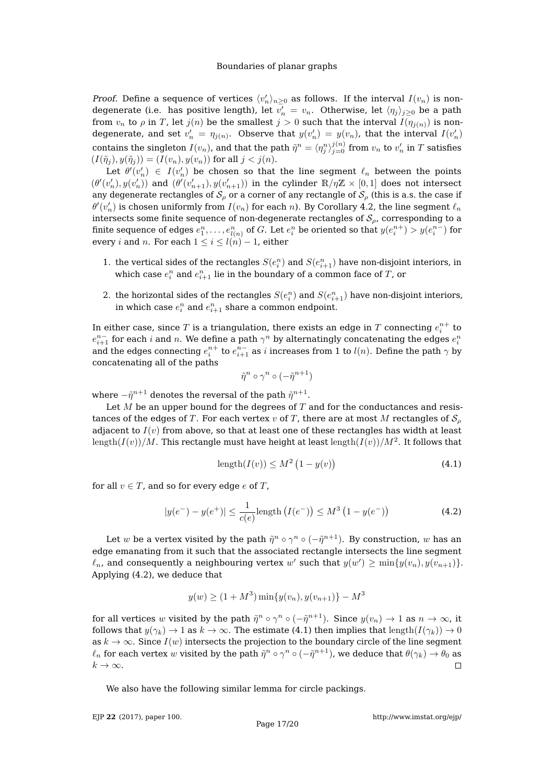*Proof.* Define a sequence of vertices  $\langle v'_n \rangle_{n \geq 0}$  as follows. If the interval  $I(v_n)$  is nondegenerate (i.e. has positive length), let  $v'_n = v_n$ . Otherwise, let  $\langle \eta_j \rangle_{j\geq 0}$  be a path from  $v_n$  to  $\rho$  in T, let  $j(n)$  be the smallest  $j > 0$  such that the interval  $I(\eta_{j(n)})$  is nondegenerate, and set  $v'_n = \eta_{j(n)}$ . Observe that  $y(v'_n) = y(v_n)$ , that the interval  $I(v'_n)$ contains the singleton  $I(v_n)$ , and that the path  $\tilde{\eta}^n=\langle\eta_j^n\rangle_{j=0}^{j(n)}$  from  $v_n$  to  $v_n'$  in  $T$  satisfies  $(I(\tilde{\eta}_j), y(\tilde{\eta}_j)) = (I(v_n), y(v_n))$  for all  $j < j(n)$ .

Let  $\theta'(v'_n) \in I(v'_n)$  be chosen so that the line segment  $\ell_n$  between the points  $(\theta'(v_n'), y(v_n'))$  and  $(\theta'(v_{n+1}'), y(v_{n+1}'))$  in the cylinder  $\mathbb{R}/\eta\mathbb{Z} \times [0,1]$  does not intersect any degenerate rectangles of  $S_\rho$  or a corner of any rectangle of  $S_\rho$  (this is a.s. the case if  $\theta'(v'_n)$  is chosen uniformly from  $I(v_n)$  for each  $n$ ). By Corollary [4.2,](#page-15-3) the line segment  $\ell_n$ intersects some finite sequence of non-degenerate rectangles of  $S_{\rho}$ , corresponding to a finite sequence of edges  $e^n_1,\ldots,e^n_{l(n)}$  of  $G.$  Let  $e^n_i$  be oriented so that  $y(e^{n+}_i)>y(e^{n-}_i)$  for every i and n. For each  $1 \leq i \leq l(n) - 1$ , either

- 1. the vertical sides of the rectangles  $S(e_i^n)$  and  $S(e_{i+1}^n)$  have non-disjoint interiors, in which case  $e_i^n$  and  $e_{i+1}^n$  lie in the boundary of a common face of  $T$ , or
- 2. the horizontal sides of the rectangles  $S(e_i^n)$  and  $S(e_{i+1}^n)$  have non-disjoint interiors, in which case  $e_i^n$  and  $e_{i+1}^n$  share a common endpoint.

In either case, since  $T$  is a triangulation, there exists an edge in  $T$  connecting  $e_i^{n+}$  to  $e_{i+1}^{n-}$  for each  $i$  and  $n.$  We define a path  $\gamma^n$  by alternatingly concatenating the edges  $e_i^n$ and the edges connecting  $e_i^{n+}$  to  $e_{i+1}^{n-}$  as  $i$  increases from 1 to  $l(n)$ . Define the path  $\gamma$  by concatenating all of the paths

$$
\tilde{\eta}^n \circ \gamma^n \circ (-\tilde{\eta}^{n+1})
$$

where  $- \tilde{\eta}^{n+1}$  denotes the reversal of the path  $\tilde{\eta}^{n+1}.$ 

Let  $M$  be an upper bound for the degrees of  $T$  and for the conductances and resistances of the edges of T. For each vertex v of T, there are at most M rectangles of  $S_{\rho}$ adjacent to  $I(v)$  from above, so that at least one of these rectangles has width at least  $\mathrm{length}(I(v))/M.$  This rectangle must have height at least  $\mathrm{length}(I(v))/M^2.$  It follows that

<span id="page-16-1"></span>
$$
length(I(v)) \le M^2 (1 - y(v))
$$
\n(4.1)

for all  $v \in T$ , and so for every edge e of T,

<span id="page-16-0"></span>
$$
|y(e^{-}) - y(e^{+})| \le \frac{1}{c(e)} \text{length} (I(e^{-})) \le M^3 (1 - y(e^{-})) \tag{4.2}
$$

Let  $w$  be a vertex visited by the path  $\tilde{\eta}^n \circ \gamma^n \circ (-\tilde{\eta}^{n+1})$ . By construction,  $w$  has an edge emanating from it such that the associated rectangle intersects the line segment  $\ell_n$ , and consequently a neighbouring vertex  $w'$  such that  $y(w') \ge \min\{y(v_n), y(v_{n+1})\}.$ Applying [\(4.2\)](#page-16-0), we deduce that

$$
y(w) \ge (1 + M^3) \min\{y(v_n), y(v_{n+1})\} - M^3
$$

for all vertices  $w$  visited by the path  $\tilde\eta^n\circ\gamma^n\circ(-\tilde\eta^{n+1})$ . Since  $y(v_n)\to 1$  as  $n\to\infty$ , it follows that  $y(\gamma_k) \to 1$  as  $k \to \infty$ . The estimate [\(4.1\)](#page-16-1) then implies that length( $I(\gamma_k)$ )  $\to 0$ as  $k \to \infty$ . Since  $I(w)$  intersects the projection to the boundary circle of the line segment  $\ell_n$  for each vertex  $w$  visited by the path  $\tilde\eta^n\circ\gamma^n\circ(-\tilde\eta^{n+1})$ , we deduce that  $\theta(\gamma_k)\to\theta_0$  as  $k \to \infty$ .  $\Box$ 

We also have the following similar lemma for circle packings.

EJP **22** [\(2017\), paper 100.](http://dx.doi.org/10.1214/17-EJP116)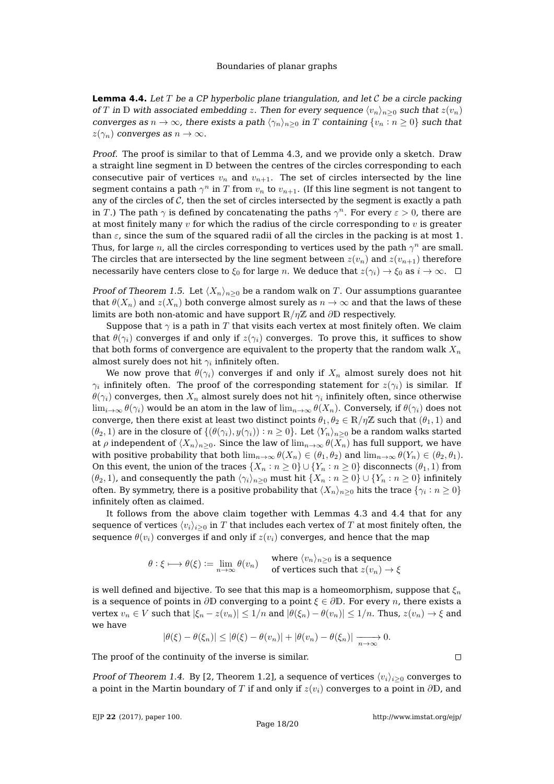<span id="page-17-0"></span>**Lemma 4.4.** Let T be a CP hyperbolic plane triangulation, and let C be a circle packing of T in D with associated embedding z. Then for every sequence  $\langle v_n \rangle_{n>0}$  such that  $z(v_n)$ converges as  $n \to \infty$ , there exists a path  $\langle \gamma_n \rangle_{n>0}$  in T containing  $\{v_n : n \geq 0\}$  such that  $z(\gamma_n)$  converges as  $n \to \infty$ .

Proof. The proof is similar to that of Lemma [4.3,](#page-15-4) and we provide only a sketch. Draw a straight line segment in D between the centres of the circles corresponding to each consecutive pair of vertices  $v_n$  and  $v_{n+1}$ . The set of circles intersected by the line segment contains a path  $\gamma^n$  in  $T$  from  $v_n$  to  $v_{n+1}$ . (If this line segment is not tangent to any of the circles of  $\mathcal C$ , then the set of circles intersected by the segment is exactly a path in T.) The path  $\gamma$  is defined by concatenating the paths  $\gamma^n.$  For every  $\varepsilon > 0$ , there are at most finitely many  $v$  for which the radius of the circle corresponding to  $v$  is greater than  $\varepsilon$ , since the sum of the squared radii of all the circles in the packing is at most 1. Thus, for large  $n$ , all the circles corresponding to vertices used by the path  $\gamma^n$  are small. The circles that are intersected by the line segment between  $z(v_n)$  and  $z(v_{n+1})$  therefore necessarily have centers close to  $\xi_0$  for large n. We deduce that  $z(\gamma_i) \to \xi_0$  as  $i \to \infty$ .  $\Box$ 

*Proof of Theorem [1.5.](#page-5-0)* Let  $\langle X_n \rangle_{n>0}$  be a random walk on T. Our assumptions guarantee that  $\theta(X_n)$  and  $z(X_n)$  both converge almost surely as  $n \to \infty$  and that the laws of these limits are both non-atomic and have support  $\mathbb{R}/\eta\mathbb{Z}$  and  $\partial\mathbb{D}$  respectively.

Suppose that  $\gamma$  is a path in T that visits each vertex at most finitely often. We claim that  $\theta(\gamma_i)$  converges if and only if  $z(\gamma_i)$  converges. To prove this, it suffices to show that both forms of convergence are equivalent to the property that the random walk  $X_n$ almost surely does not hit  $\gamma_i$  infinitely often.

We now prove that  $\theta(\gamma_i)$  converges if and only if  $X_n$  almost surely does not hit  $\gamma_i$  infinitely often. The proof of the corresponding statement for  $z(\gamma_i)$  is similar. If  $\theta(\gamma_i)$  converges, then  $X_n$  almost surely does not hit  $\gamma_i$  infinitely often, since otherwise  $\lim_{i\to\infty}\theta(\gamma_i)$  would be an atom in the law of  $\lim_{n\to\infty}\theta(X_n)$ . Conversely, if  $\theta(\gamma_i)$  does not converge, then there exist at least two distinct points  $\theta_1, \theta_2 \in \mathbb{R}/\eta\mathbb{Z}$  such that  $(\theta_1, 1)$  and  $(\theta_2, 1)$  are in the closure of  $\{(\theta(\gamma_i), y(\gamma_i)) : n \ge 0\}$ . Let  $\langle Y_n \rangle_{n\ge 0}$  be a random walks started at  $\rho$  independent of  $\langle X_n \rangle_{n>0}$ . Since the law of  $\lim_{n\to\infty} \theta(X_n)$  has full support, we have with positive probability that both  $\lim_{n\to\infty} \theta(X_n) \in (\theta_1, \theta_2)$  and  $\lim_{n\to\infty} \theta(Y_n) \in (\theta_2, \theta_1)$ . On this event, the union of the traces  $\{X_n : n \geq 0\} \cup \{Y_n : n \geq 0\}$  disconnects  $(\theta_1, 1)$  from  $(\theta_2, 1)$ , and consequently the path  $\langle \gamma_i \rangle_{n \geq 0}$  must hit  $\{X_n : n \geq 0\} \cup \{Y_n : n \geq 0\}$  infinitely often. By symmetry, there is a positive probability that  $\langle X_n\rangle_{n\geq 0}$  hits the trace  $\{\gamma_i:n\geq 0\}$ infinitely often as claimed.

It follows from the above claim together with Lemmas [4.3](#page-15-4) and [4.4](#page-17-0) that for any sequence of vertices  $\langle v_i \rangle_{i>0}$  in T that includes each vertex of T at most finitely often, the sequence  $\theta(v_i)$  converges if and only if  $z(v_i)$  converges, and hence that the map

> $\theta : \xi \longmapsto \theta(\xi) \mathrel{\mathop:}= \lim_{n \to \infty} \theta(v_n) \quad \text{where $\langle v_n \rangle_{n \geq 0}$ is a sequence of vertices such that $z(v_n) = \int_0^\infty |v_n|^2 \, dx$.}$ of vertices such that  $z(v_n) \to \xi$

is well defined and bijective. To see that this map is a homeomorphism, suppose that  $\xi_n$ is a sequence of points in  $\partial\mathbb{D}$  converging to a point  $\xi \in \partial\mathbb{D}$ . For every *n*, there exists a vertex  $v_n \in V$  such that  $|\xi_n - z(v_n)| \leq 1/n$  and  $|\theta(\xi_n) - \theta(v_n)| \leq 1/n$ . Thus,  $z(v_n) \to \xi$  and we have

$$
|\theta(\xi) - \theta(\xi_n)| \leq |\theta(\xi) - \theta(v_n)| + |\theta(v_n) - \theta(\xi_n)| \xrightarrow[n \to \infty]{} 0.
$$

The proof of the continuity of the inverse is similar.

Proof of Theorem [1.4.](#page-4-0) By [\[2,](#page-18-1) Theorem 1.2], a sequence of vertices  $\langle v_i \rangle_{i\geq 0}$  converges to a point in the Martin boundary of T if and only if  $z(v_i)$  converges to a point in  $\partial\mathbb{D}$ , and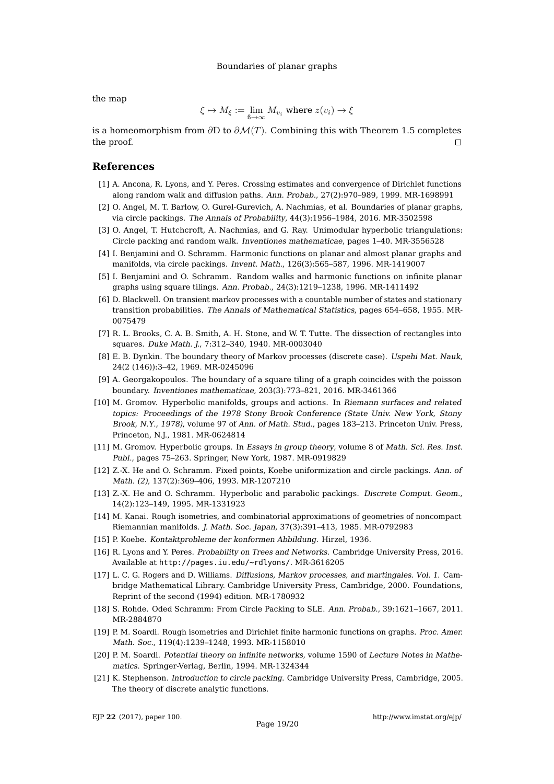the map

$$
\xi \mapsto M_{\xi} := \lim_{\mathcal{B} \to \infty} M_{v_i} \text{ where } z(v_i) \to \xi
$$

is a homeomorphism from  $\partial \mathbb{D}$  to  $\partial \mathcal{M}(T)$ . Combining this with Theorem [1.5](#page-5-0) completes the proof.  $\Box$ 

### **References**

- <span id="page-18-20"></span>[1] A. Ancona, R. Lyons, and Y. Peres. Crossing estimates and convergence of Dirichlet functions along random walk and diffusion paths. Ann. Probab., 27(2):970–989, 1999. [MR-1698991](http://www.ams.org/mathscinet-getitem?mr=1698991)
- <span id="page-18-1"></span>[2] O. Angel, M. T. Barlow, O. Gurel-Gurevich, A. Nachmias, et al. Boundaries of planar graphs, via circle packings. The Annals of Probability, 44(3):1956–1984, 2016. [MR-3502598](http://www.ams.org/mathscinet-getitem?mr=3502598)
- <span id="page-18-10"></span>[3] O. Angel, T. Hutchcroft, A. Nachmias, and G. Ray. Unimodular hyperbolic triangulations: Circle packing and random walk. Inventiones mathematicae, pages 1–40. [MR-3556528](http://www.ams.org/mathscinet-getitem?mr=3556528)
- <span id="page-18-9"></span>[4] I. Benjamini and O. Schramm. Harmonic functions on planar and almost planar graphs and manifolds, via circle packings. Invent. Math., 126(3):565–587, 1996. [MR-1419007](http://www.ams.org/mathscinet-getitem?mr=1419007)
- <span id="page-18-3"></span>[5] I. Benjamini and O. Schramm. Random walks and harmonic functions on infinite planar graphs using square tilings. Ann. Probab., 24(3):1219–1238, 1996. [MR-1411492](http://www.ams.org/mathscinet-getitem?mr=1411492)
- <span id="page-18-18"></span>[6] D. Blackwell. On transient markov processes with a countable number of states and stationary transition probabilities. The Annals of Mathematical Statistics, pages 654–658, 1955. [MR-](http://www.ams.org/mathscinet-getitem?mr=0075479)[0075479](http://www.ams.org/mathscinet-getitem?mr=0075479)
- <span id="page-18-2"></span>[7] R. L. Brooks, C. A. B. Smith, A. H. Stone, and W. T. Tutte. The dissection of rectangles into squares. Duke Math. J., 7:312–340, 1940. [MR-0003040](http://www.ams.org/mathscinet-getitem?mr=0003040)
- <span id="page-18-16"></span>[8] E. B. Dynkin. The boundary theory of Markov processes (discrete case). Uspehi Mat. Nauk, 24(2 (146)):3–42, 1969. [MR-0245096](http://www.ams.org/mathscinet-getitem?mr=0245096)
- <span id="page-18-0"></span>[9] A. Georgakopoulos. The boundary of a square tiling of a graph coincides with the poisson boundary. Inventiones mathematicae, 203(3):773–821, 2016. [MR-3461366](http://www.ams.org/mathscinet-getitem?mr=3461366)
- <span id="page-18-12"></span>[10] M. Gromov. Hyperbolic manifolds, groups and actions. In Riemann surfaces and related topics: Proceedings of the 1978 Stony Brook Conference (State Univ. New York, Stony Brook, N.Y., 1978), volume 97 of Ann. of Math. Stud., pages 183–213. Princeton Univ. Press, Princeton, N.J., 1981. [MR-0624814](http://www.ams.org/mathscinet-getitem?mr=0624814)
- <span id="page-18-13"></span>[11] M. Gromov. Hyperbolic groups. In Essays in group theory, volume 8 of Math. Sci. Res. Inst. Publ., pages 75–263. Springer, New York, 1987. [MR-0919829](http://www.ams.org/mathscinet-getitem?mr=0919829)
- <span id="page-18-7"></span>[12] Z.-X. He and O. Schramm. Fixed points, Koebe uniformization and circle packings. Ann. of Math. (2), 137(2):369–406, 1993. [MR-1207210](http://www.ams.org/mathscinet-getitem?mr=1207210)
- <span id="page-18-8"></span>[13] Z.-X. He and O. Schramm. Hyperbolic and parabolic packings. Discrete Comput. Geom., 14(2):123–149, 1995. [MR-1331923](http://www.ams.org/mathscinet-getitem?mr=1331923)
- <span id="page-18-11"></span>[14] M. Kanai. Rough isometries, and combinatorial approximations of geometries of noncompact Riemannian manifolds. J. Math. Soc. Japan, 37(3):391–413, 1985. [MR-0792983](http://www.ams.org/mathscinet-getitem?mr=0792983)
- <span id="page-18-14"></span><span id="page-18-4"></span>[15] P. Koebe. Kontaktprobleme der konformen Abbildung. Hirzel, 1936.
- [16] R. Lyons and Y. Peres. Probability on Trees and Networks. Cambridge University Press, 2016. Available at <http://pages.iu.edu/~rdlyons/>. [MR-3616205](http://www.ams.org/mathscinet-getitem?mr=3616205)
- <span id="page-18-17"></span>[17] L. C. G. Rogers and D. Williams. Diffusions, Markov processes, and martingales. Vol. 1. Cambridge Mathematical Library. Cambridge University Press, Cambridge, 2000. Foundations, Reprint of the second (1994) edition. [MR-1780932](http://www.ams.org/mathscinet-getitem?mr=1780932)
- <span id="page-18-6"></span>[18] S. Rohde. Oded Schramm: From Circle Packing to SLE. Ann. Probab., 39:1621–1667, 2011. [MR-2884870](http://www.ams.org/mathscinet-getitem?mr=2884870)
- <span id="page-18-19"></span>[19] P. M. Soardi. Rough isometries and Dirichlet finite harmonic functions on graphs. Proc. Amer. Math. Soc., 119(4):1239–1248, 1993. [MR-1158010](http://www.ams.org/mathscinet-getitem?mr=1158010)
- <span id="page-18-15"></span>[20] P. M. Soardi. Potential theory on infinite networks, volume 1590 of Lecture Notes in Mathematics. Springer-Verlag, Berlin, 1994. [MR-1324344](http://www.ams.org/mathscinet-getitem?mr=1324344)
- <span id="page-18-5"></span>[21] K. Stephenson. Introduction to circle packing. Cambridge University Press, Cambridge, 2005. The theory of discrete analytic functions.